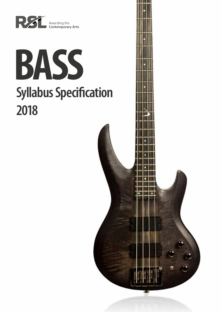

# **BASS Syllabus Specification 2018**

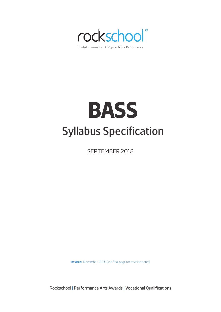

# **BASS** Syllabus Specification

SEPTEMBER 2018

**Revised:** November 2020 (see final page for revision notes)

Rockschool | Performance Arts Awards | Vocational Qualifications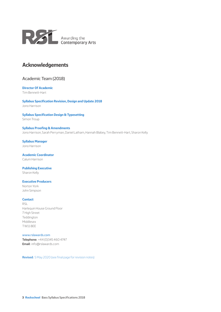

# **Acknowledgements**

## Academic Team (2018)

# **Director Of Academic**

Tim Bennett-Hart

**Syllabus Specification Revision, Design and Update 2018** Jono Harrison

## **Syllabus Specification Design & Typesetting**

Simon Troup

#### **Syllabus Proofing & Amendments** Jono Harrison, Sarah Perryman, Daniel Latham, Hannah Blabey, Tim Bennett-Hart, Sharon Kelly

**Syllabus Manager** Jono Harrison

**Academic Coordinator** Calum Harrison

## **Publishing Executive**

Sharon Kelly

#### **Executive Producers**

Norton York John Simpson

#### **Contact**

RSL Harlequin House Ground Floor 7 High Street Teddington Middlesex TW11 8EE

#### www.rslawards.com

**Telephone:** +44 (0)345 460 4747 **Email:** info@rslawards.com

**Revised:** 5 May 2020 (see final page for revision notes)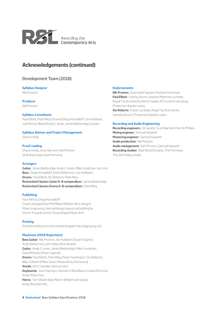

# **Acknowledgements (continued)**

## Development Team (2018)

#### **Syllabus Designer**

Nik Preston

**Producer**

Nik Preston

#### **Syllabus Consultants**

Paul Elliott, Pete Riley (Drums) Diego Kovadloff, Joe Hubbard, Joel McIver (Bass) Andy G Jones, James Betteridge (Guitar)

#### **Syllabus Advisor and Project Management**

Sharon Kelly

## **Proof reading**

Sharon Kelly, Jono Harrison, Nik Preston (and all arrangers/performers)

#### **Arrangers**

**Guitar:** James Betteridge, Andy G Jones, Mike Goodman, Viv Lock **Bass:** Diego Kovadloff, Andy Robertson, Joe Hubbard **Drums:** Paul Elliott, Stu Roberts, Pete Riley **Rockschool Classics Guitar 6–8 compendium:** James Betteridge **Rockschool Classics Drums 6–8 compendium:** Pete Riley

#### **Publishing**

Fact files by Diego Kovadloff Covers designed by Phil Millard (Rather Nice design) Music engraving, internal design, layout and editing by Simon Troup & Jennie Troup (Digital Music Art)

## **Printing**

Printed and bound in the United Kingdom by Caligraving Ltd.

## **Musicians (2018 Repertoire)**

**Bass Guitar:** Nik Preston, Joe Hubbard, Stuart Clayton, Andy Robertson, John Ilsley (Dire Straits) **Guitar:** Andy G Jones, James Betteridge, Mike Goodman, David Rhodes (Peter Gabriel) **Drums:** Paul Elliott, Pete Riley, Peter Huntington, Stu Roberts, Billy Cobham (Miles Davis, Mahavishnu Orchestra) **Vocals:** Kim Chandler, Samuel Jack **Keyboards:** Jono Harrison, Hannah V (Red Baron Grade 8 Drums), Andy Robertson **Horns:** Tom Walsh (tpt), Martin Williams (all saxes), Andy Wood (trmb).

#### **Endorsements**

**Nik Preston:** Overwater basses, Positive Grid amps. **Paul Elliott:** Liberty drums, Istanbul Mehmet cymbals, Regal Tip drumsticks, Remo heads, ACS custom ear plugs, Protection Racket cases. **Stu Roberts:** Paiste cymbals, Regal Tip drumsticks, Yamaha drums, Protection Racket cases

#### **Recording and Audio Engineering**

**Recording engineers:** Oli Jacobs, Scott Barnett, Patrick Phillips **Mixing engineer:** Samuel Vasanth **Mastering engineer:** Samuel Vasanth **Audio production:** Nik Preston **Audio management:** Ash Preston, Samuel Vasanth **Recording studios:** Real World Studios, The Premises, The John Ilsley studio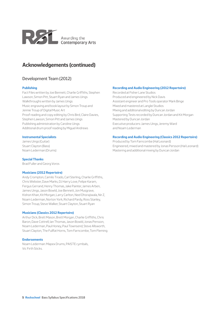

# **Acknowledgements (continued)**

## Development Team (2012)

#### **Publishing**

Fact Files written by Joe Bennett, Charlie Griffiths, Stephen Lawson, Simon Pitt, Stuart Ryan and James Uings Walkthroughs written by James Uings Music engraving and book layout by Simon Troup and Jennie Troup of Digital Music Art Proof reading and copy editing by Chris Bird, Claire Davies, Stephen Lawson, Simon Pitt and James Uings Publishing administration by Caroline Uings Additional drum proof reading by Miguel Andrews

#### **Instrumental Specialists**

James Uings (Guitar) Stuart Clayton (Bass) Noam Lederman (Drums)

#### **Special Thanks**

Brad Fuller and Georg Voros

#### **Musicians (2012 Repertoire)**

Andy Crompton, Camilo Tirado, Carl Sterling, Charlie Griffiths, Chris Webster, Dave Marks, DJ Harry Love, Felipe Karam, Fergus Gerrand, Henry Thomas, Jake Painter, James Arben, James Uings, Jason Bowld, Joe Bennett, Jon Musgrave, Kishon Khan, Kit Morgan, Larry Carlton, Neel Dhorajiwala, Nir Z, Noam Lederman, Norton York, Richard Pardy, Ross Stanley, Simon Troup, Steve Walker, Stuart Clayton, Stuart Ryan

#### **Musicians (Classics 2012 Repertoire)**

Arthur Dick, Brett Mason, Brett Morgan, Charlie Griffiths, Chris Baron, Dave Cottrell, Ian Thomas, Jason Bowld, Jonas Persson, Noam Lederman, Paul Honey, Paul Townsend, Steve Allsworth, Stuart Clayton, The Fullfat Horns, Tom Farncombe, Tom Fleming

#### **Endorsements**

Noam Lederman: Mapex Drums, PAISTE cymbals, Vic Firth Sticks.

#### **Recording and Audio Engineering (2012 Repertoire)**

Recorded at Fisher Lane Studios Produced and engineered by Nick Davis Assistant engineer and Pro Tools operator Mark Binge Mixed and mastered at Langlei Studios Mixing and additional editing by Duncan Jordan Supporting Tests recorded by Duncan Jordan and Kit Morgan Mastered by Duncan Jordan Executive producers: James Uings, Jeremy Ward and Noam Lederman

#### **Recording and Audio Engineering (Classics 2012 Repertoire)**

Produced by Tom Farncombe (Hal Leonard) Engineered, mixed and mastered by Jonas Persson (Hal Leonard) Mastering and additional mixing by Duncan Jordan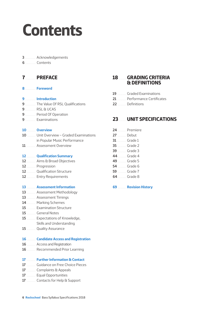# **Contents**

## ................... Acknowledgements

**Contents** 

# .................. **PREFACE**

................... **Foreword**

## ................... **Introduction**

- ................... The Value Of RSL Qualifications
- RSL & UCAS
- ................... Period Of Operation
- ................... Examinations

## ............... **Overview**

- ............... Unit Overview Graded Examinations in Popular Music Performance
- ................. Assessment Overview

## ................ **Qualification Summary**

- ................ Aims & Broad Objectives
- ................ Progression
- ................ Qualification Structure
- ................ Entry Requirements

## ................ **Assessment Information**

- ................ Assessment Methodology
- ................ Assessment Timings
- ................ Marking Schemes
- ................ Examination Structure
- ................ General Notes
- ................ Expectations of Knowledge, Skills and Understanding
- ................ Quality Assurance

## ................ **Candidate Access and Registration**

- ................ Access and Registration
- ................ Recommended Prior Learning

## ................ **Further Information & Contact**

- ................ Guidance on Free Choice Pieces
- ................ Complaints & Appeals
- ................ Equal Opportunities
- ................ Contacts for Help & Support

# ............. **GRADING CRITERIA & DEFINITIONS**

- ................ Graded Examinations
- ................ Performance Certificates
- 22 Definitions

# ............. **UNIT SPECIFICATIONS**

- ............... Premiere 27 Debut Grade 1 ............... Grade 2 ............... Grade 3 Grade 4 ............... Grade 5 ............... Grade 6 ............... Grade 7 .............. Grade 8
- ............... **Revision History**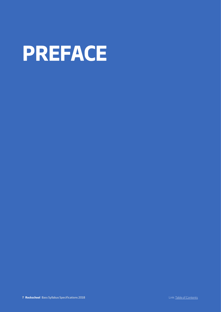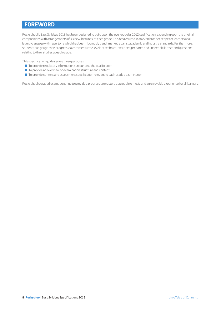# **FOREWORD**

Rockschool's Bass Syllabus 2018 has been designed to build upon the ever-popular 2012 qualification, expanding upon the original compositions with arrangements of six new 'hit tunes' at each grade. This has resulted in an even broader scope for learners at all levels to engage with repertoire which has been rigorously benchmarked against academic and industry standards. Furthermore, students can gauge their progress via commensurate levels of technical exercises, prepared and unseen skills tests and questions relating to their studies at each grade.

This specification guide serves three purposes:

- $\blacksquare$  To provide regulatory information surrounding the qualification
- $\blacksquare$  To provide an overview of examination structure and content
- $\blacksquare$  To provide content and assessment specification relevant to each graded examination

Rockschool's graded exams continue to provide a progressive mastery approach to music and an enjoyable experience for all learners.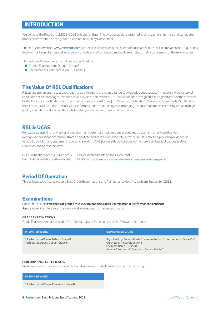# **INTRODUCTION**

Welcome to the Rockschool 2018–2024 syllabus for Bass. This syllabus guide is designed to give teachers, learners and candidates practical information on the graded examinations run by Rockschool.

The Rockschool website www.rslawards.com has detailed information on all aspects of our examinations, including examination regulations, detailed marking schemes and assessment criteria as well as notated and audio examples to help you prepare for the examination.

This Syllabus Guide covers the following examinations:

- Graded Examinations Debut Grade 8
- Performance Certificates Debut Grade 8

## **The Value Of RSL Qualifications**

RSL advocates an open access approach to qualifications, providing a range of syllabi, designed to accommodate a wide variety of candidates of different ages, experience and levels of achievement. RSL qualifications are regulated in England and Northern Ireland by the Office of Qualifications and Examinations Regulation (Ofqual), in Wales by Qualifications Wales and accredited in Scotland by the Scottish Qualifications Authority. RSL is committed to maintaining and improving its reputation for excellence by providing high quality education and training through its syllabi, examinations, music and resources.

# **RSL & UCAS**

For students applying for work or University, many potential employers see graded music exams in a very positive way. Recognised qualifications demonstrate an ability to dedicate commitment to extra-curricular activities, providing evidence of versatility which many students find beneficial within UCAS (Universities & Colleges Admissions Service) applications and for University entrance interviews.

Our qualifications at Level 3 (Grades 6–8) carry allocated points on the UCAS tariff. For full details relating to the allocation of UCAS points please see: www.rslawards.com/about-us/ucas-points

# **Period Of Operation**

This syllabus specification covers Bass Grade Examinations and Performance Certificates from September 2018.

## **Examinations**

Rockschool offers **two types of graded music examination: Graded Examination & Performance Certificate**. *Please note:* Premiere exams are only available as a performance certificate.

#### **GRADE EXAMINATIONS**

Grade Examinations are available from Debut – Grade 8 and consist of the following elements:

| <b>PREPARED WORK</b>                                                          | <b>UNPREPARED WORK</b>                                                                                                                                                                         |
|-------------------------------------------------------------------------------|------------------------------------------------------------------------------------------------------------------------------------------------------------------------------------------------|
| 3 Performance Pieces: Debut - Grade 8<br>Technical Exercises: Debut - Grade 8 | Sight Reading: Debut - Grade 5 or Improvisation & Interpretation: Grades 1-5<br>Quick Study Piece: Grades 6-8<br>Ear Tests: Debut - Grade 8<br>General Musicianship Questions: Debut - Grade 8 |

#### **PERFORMANCE CERTIFICATES**

Performance Certificates are available from Premiere – Grade 8 and consist of the following:

#### **PREPARED WORK**

5 Performance Pieces: Premiere – Grade 8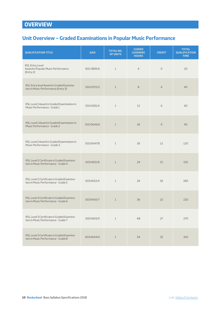# **OVERVIEW**

# **Unit Overview – Graded Examinations in Popular Music Performance**

| <b>QUALIFICATION TITLE</b>                                                        | QAN        | <b>TOTAL NO.</b><br>OF UNITS | <b>GUIDED</b><br><b>LEARNING</b><br><b>HOURS</b> | <b>CREDIT</b>  | <b>TOTAL</b><br><b>QUALIFICATION</b><br><b>TIME</b> |
|-----------------------------------------------------------------------------------|------------|------------------------------|--------------------------------------------------|----------------|-----------------------------------------------------|
| RSL Entry Level<br>Award in Popular Music Performance<br>[Entry 2]                | 601/3895/6 | $\mathbf{1}$                 | $\overline{4}$                                   | $\circ$        | 20                                                  |
| RSL Entry level Award in Graded Examina-<br>tion in Music Performance (Entry 3)   | 501/0370/2 | $\mathbf{1}$                 | 8                                                | $\overline{4}$ | 40                                                  |
| RSL Level 1 Award in Graded Examination in<br>Music Performance - Grade 1         | 501/0391/X | $\mathbf{1}$                 | 12                                               | 6              | 60                                                  |
| RSL Level 1 Award in Graded Examination in<br>Music Performance - Grade 2         | 501/0646/6 | $\mathbf{1}$                 | 18                                               | 9              | 90                                                  |
| RSL Level 1 Award in Graded Examination in<br>Music Performance - Grade 3         | 501/0647/8 | $\mathbf{1}$                 | 18                                               | 12             | 120                                                 |
| RSL Level 2 Certificate in Graded Examina-<br>tion in Music Performance - Grade 4 | 603/4151/8 | $\mathbf{1}$                 | 24                                               | 15             | 150                                                 |
| RSL Level 2 Certificate in Graded Examina-<br>tion in Music Performance - Grade 5 | 603/4152/X | $\mathbf{1}$                 | 24                                               | 18             | 180                                                 |
| RSL Level 3 Certificate in Graded Examina-<br>tion in Music Performance - Grade 6 | 603/4142/7 | $\mathbf{1}$                 | 36                                               | 22             | 220                                                 |
| RSL Level 3 Certificate in Graded Examina-<br>tion in Music Performance - Grade 7 | 603/4143/9 | 1                            | 48                                               | 27             | 270                                                 |
| RSL Level 3 Certificate in Graded Examina-<br>tion in Music Performance - Grade 8 | 603/4144/0 | $\mathbf{1}$                 | 54                                               | 32             | 320                                                 |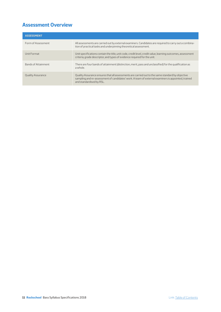# **Assessment Overview**

| <b>ASSESSMENT</b>        |                                                                                                                                                                                                                                    |
|--------------------------|------------------------------------------------------------------------------------------------------------------------------------------------------------------------------------------------------------------------------------|
| Form of Assessment       | All assessments are carried out by external examiners. Candidates are required to carry out a combina-<br>tion of practical tasks and underpinning theoretical assessment.                                                         |
| Unit Format              | Unit specifications contain the title, unit code, credit level, credit value, learning outcomes, assessment<br>criteria, grade descriptor, and types of evidence required for the unit.                                            |
| Bands of Attainment      | There are four bands of attainment (distinction, merit, pass and unclassified) for the qualification as<br>a whole.                                                                                                                |
| <b>Quality Assurance</b> | Quality Assurance ensures that all assessments are carried out to the same standard by objective<br>sampling and re-assessment of candidates' work. A team of external examiners is appointed, trained<br>and standardised by RSL. |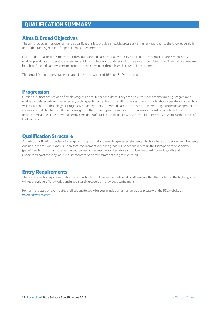# **QUALIFICATION SUMMARY**

# **Aims & Broad Objectives**

The aim of popular music performance qualifications is to provide a flexible, progressive mastery approach to the knowledge, skills and understanding required for popular music performance.

RSL's graded qualifications motivate and encourage candidates of all ages and levels through a system of progressive mastery, enabling candidates to develop and enhance skills, knowledge and understanding in a safe and consistent way. The qualifications are beneficial for candidates wishing to progress at their own pace through smaller steps of achievement.

These qualifications are suitable for candidates in the Under 16, 16+, 16–18, 19+ age groups.

# **Progression**

Graded qualifications provide a flexible progression route for candidates. They are a positive means of determining progress and enable candidates to learn the necessary techniques to gain entry to FE and HE courses. Graded qualifications operate according to a well-established methodology of 'progressive mastery'. They allow candidates to be tested in discrete stages in the development of a wide range of skills. They tend to be more rigorous than other types of exams and for that reason industry is confident that achievement at the highest level gained by candidates of graded qualifications will have the skills necessary to work in other areas of the business.

# **Qualification Structure**

A graded qualification consists of a range of both practical and knowledge-based elements which are based on detailed requirements outlined in the relevant syllabus. Therefore, requirements for each grade will be set out in detail in the Unit Specifications below (page 17 and onwards) and the learning outcomes and assessment criteria for each unit will require knowledge, skills and understanding of these syllabus requirements to be demonstrated at the grade entered.

# **Entry Requirements**

There are no entry requirements for these qualifications. However, candidates should be aware that the content at the higher grades will require a level of knowledge and understanding covered in previous qualifications.

For further details on exam dates and fees and to apply for your music performance grades please visit the RSL website at www.rslawards.com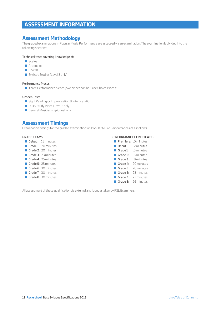# **ASSESSMENT INFORMATION**

# **Assessment Methodology**

The graded examinations in Popular Music Performance are assessed via an examination. The examination is divided into the following sections:

#### Technical tests covering knowledge of:

- Scales
- **Arpeggios**
- Chords
- Stylistic Studies (Level 3 only)

### Performance Pieces

■ Three Performance pieces (two pieces can be 'Free Choice Pieces')

### Unseen Tests

- Sight Reading or Improvisation & Interpretation
- Quick Study Piece (Level 3 only)
- **General Musicianship Questions**

# **Assessment Timings**

Examination timings for the graded examinations in Popular Music Performance are as follows:

#### **GRADE EXAMS**

- Debut: 15 minutes
- Grade 1: 20 minutes
- Grade 2: 20 minutes
- Grade 3: 23 minutes
- Grade 4: 25 minutes
- Grade 5: 25 minutes
- Grade 6: 30 minutes
- Grade 7: 30 minutes
- Grade 8: 30 minutes

## **PERFORMANCE CERTIFICATES**

|            | Premiere: 10 minutes  |
|------------|-----------------------|
| ■ Debut:   | 12 minutes            |
|            | Grade 1: 15 minutes   |
|            | Grade 2: $15$ minutes |
| ■ Grade 3: | 18 minutes            |
| ■ Grade 4: | 20 minutes            |
|            | Grade 5: 20 minutes   |
|            | Grade 6: 23 minutes   |
|            | Grade 7: 23 minutes   |
|            | Grade 8: 26 minutes   |
|            |                       |

All assessment of these qualifications is external and is undertaken by RSL Examiners.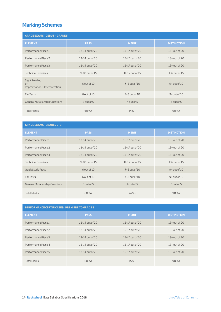# **Marking Schemes**

| <b>GRADE EXAMS: DEBUT - GRADE 5</b>                          |                     |                     |                    |  |  |
|--------------------------------------------------------------|---------------------|---------------------|--------------------|--|--|
| <b>ELEMENT</b>                                               | <b>PASS</b>         | <b>MERIT</b>        | <b>DISTINCTION</b> |  |  |
| Performance Piece 1                                          | 12-14 out of 20     | 15-17 out of 20     | $18+$ out of 20    |  |  |
| Performance Piece 2                                          | $12 - 14$ out of 20 | 15-17 out of 20     | $18+$ out of 20    |  |  |
| Performance Piece 3                                          | 12-14 out of 20     | 15-17 out of 20     | $18+$ out of 20    |  |  |
| <b>Technical Exercises</b>                                   | 9-10 out of 15      | 11-12 out of 15     | $13+$ out of $15$  |  |  |
| Sight Reading<br><b>or</b><br>Improvisation & Interpretation | 6 out of 10         | $7 - 8$ out of $10$ | $9+$ out of $10$   |  |  |
| Ear Tests                                                    | 6 out of 10         | 7-8 out of 10       | $9+$ out of $10$   |  |  |
| <b>General Musicianship Questions</b>                        | 3 out of 5          | 4 out of 5          | 5 out of 5         |  |  |
| <b>Total Marks</b>                                           | $60%+$              | $74%+$              | $90%+$             |  |  |

| <b>GRADE EXAMS: GRADES 6-8</b>        |                     |                     |                    |  |  |
|---------------------------------------|---------------------|---------------------|--------------------|--|--|
| <b>ELEMENT</b>                        | <b>PASS</b>         | <b>MERIT</b>        | <b>DISTINCTION</b> |  |  |
| Performance Piece 1                   | 12-14 out of 20     | 15-17 out of 20     | $18+$ out of 20    |  |  |
| Performance Piece 2                   | $12 - 14$ out of 20 | 15-17 out of 20     | $18+$ out of 20    |  |  |
| Performance Piece 3                   | $12-14$ out of 20   | 15-17 out of 20     | $18+$ out of 20    |  |  |
| <b>Technical Exercises</b>            | 9-10 out of 15      | 11-12 out of 15     | $13+$ out of $15$  |  |  |
| <b>Quick Study Piece</b>              | 6 out of 10         | $7 - 8$ out of $10$ | $9+$ out of $10$   |  |  |
| Ear Tests                             | $6$ out of $10$     | $7 - 8$ out of $10$ | $9 + out of 10$    |  |  |
| <b>General Musicianship Questions</b> | 3 out of 5          | 4 out of 5          | 5 out of 5         |  |  |
| <b>Total Marks</b>                    | $60%+$              | $74%+$              | $90%+$             |  |  |

| <b>PERFORMANCE CERTIFICATES: PREMIERE TO GRADE 8</b> |                     |                   |                    |  |  |
|------------------------------------------------------|---------------------|-------------------|--------------------|--|--|
| <b>ELEMENT</b>                                       | <b>PASS</b>         | <b>MERIT</b>      | <b>DISTINCTION</b> |  |  |
| Performance Piece 1                                  | $12-14$ out of 20   | $15-17$ out of 20 | $18 +$ out of 20   |  |  |
| Performance Piece 2                                  | $12 - 14$ out of 20 | $15-17$ out of 20 | $18 +$ out of 20   |  |  |
| Performance Piece 3                                  | 12-14 out of 20     | 15-17 out of 20   | $18+$ out of 20    |  |  |
| Performance Piece 4                                  | $12 - 14$ out of 20 | $15-17$ out of 20 | $18+$ out of 20    |  |  |
| Performance Piece 5                                  | 12-14 out of 20     | 15-17 out of 20   | $18+$ out of 20    |  |  |
| <b>Total Marks</b>                                   | $60%+$              | $75%+$            | $90%+$             |  |  |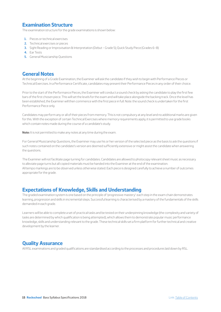# **Examination Structure**

The examination structure for the grade examinations is shown below:

- **1.** Pieces or technical exercises
- **2.** Technical exercises or pieces
- **3.** Sight Reading or Improvisation & Interpretation (Debut Grade 5); Quick Study Piece (Grades 6–8)
- **4.** Ear Tests
- **5.** General Musicianship Questions

# **General Notes**

At the beginning of a Grade Examination, the Examiner will ask the candidate if they wish to begin with Performance Pieces or Technical Exercises. In a Performance Certificate, candidates may present their Performance Pieces in any order of their choice.

Prior to the start of the Performance Pieces, the Examiner will conduct a sound check by asking the candidate to play the first few bars of the first chosen piece. This will set the levels for the exam and will take place alongside the backing track. Once the level has been established, the Examiner will then commence with the first piece in full. Note: the sound check is undertaken for the first Performance Piece only.

Candidates may perform any or all of their pieces from memory. This is not compulsory at any level and no additional marks are given for this. With the exception of certain Technical Exercises where memory requirements apply, it is permitted to use grade books which contain notes made during the course of a candidate's study.

**Note:** It is not permitted to make any notes at any time during the exam.

For General Musicianship Questions, the Examiner may use his or her version of the selected piece as the basis to ask the questions if such notes contained on the candidate's version are deemed sufficiently extensive or might assist the candidate when answering the questions.

The Examiner will not facilitate page turning for candidates. Candidates are allowed to photocopy relevant sheet music as necessary to alleviate page turns but all copied materials must be handed into the Examiner at the end of the examination. All tempo markings are to be observed unless otherwise stated. Each piece is designed carefully to achieve a number of outcomes appropriate for the grade.

# **Expectations of Knowledge, Skills and Understanding**

The graded examination system is one based on the principle of 'progressive mastery': each step in the exam chain demonstrates learning, progression and skills in incremental steps. Successful learning is characterised by a mastery of the fundamentals of the skills demanded in each grade.

Learners will be able to complete a set of practical tasks and be tested on their underpinning knowledge (the complexity and variety of tasks are determined by which qualification is being attempted), which allows them to demonstrate popular music performance knowledge, skills and understanding relevant to the grade. These technical skills set a firm platform for further technical and creative development by the learner.

# **Quality Assurance**

All RSL examinations and graded qualifications are standardised according to the processes and procedures laid down by RSL.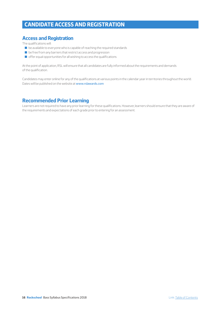# **CANDIDATE ACCESS AND REGISTRATION**

# **Access and Registration**

The qualifications will:

- $\Box$  be available to everyone who is capable of reaching the required standards
- $\blacksquare$  be free from any barriers that restrict access and progression
- $\blacksquare$  offer equal opportunities for all wishing to access the qualifications

At the point of application, RSL will ensure that all candidates are fully informed about the requirements and demands of the qualification.

Candidates may enter online for any of the qualifications at various points in the calendar year in territories throughout the world. Dates will be published on the website at www.rslawards.com

# **Recommended Prior Learning**

Learners are not required to have any prior learning for these qualifications. However, learners should ensure that they are aware of the requirements and expectations of each grade prior to entering for an assessment.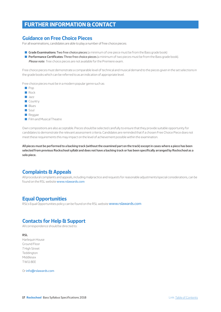# **FURTHER INFORMATION & CONTACT**

## **Guidance on Free Choice Pieces**

For all examinations, candidates are able to play a number of free choice pieces:

- **Grade Examinations: Two free choice pieces** (a minimum of one piece must be from the Bass grade book)
- Q **Performance Certificates:** Three free choice pieces (a minimum of two pieces must be from the Bass grade book). *Please note:* free choice pieces are not available for the Premiere exam.

Free choice pieces must demonstrate a comparable level of technical and musical demand to the pieces given in the set selections in the grade books which can be referred to as an indication of appropriate level.

Free choice pieces must be in a modern popular genre such as:

- $\Box$  Pop
- Rock
- **Q** Jazz
- **Country**
- **Blues**
- $\Box$  Soul
- $\blacksquare$  Reggae
- **D** Film and Musical Theatre

Own compositions are also acceptable. Pieces should be selected carefully to ensure that they provide suitable opportunity for candidates to demonstrate the relevant assessment criteria. Candidates are reminded that if a chosen Free Choice Piece does not meet these requirements this may impact on the level of achievement possible within the examination.

**All pieces must be performed to a backing track (without the examined part on the track) except in cases where a piece has been selected from previous Rockschool syllabi and does not have a backing track or has been specifically arranged by Rockschool as a solo piece.**

# **Complaints & Appeals**

All procedural complaints and appeals, including malpractice and requests for reasonable adjustments/special considerations, can be found on the RSL website www.rslawards.com

# **Equal Opportunities**

RSL's Equal Opportunities policy can be found on the RSL website www.rslawards.com

# **Contacts for Help & Support**

All correspondence should be directed to:

**RSL**

Harlequin House Ground Floor 7 High Street **Teddinaton** Middlesex TW11 8EE

Or info@rslawards.com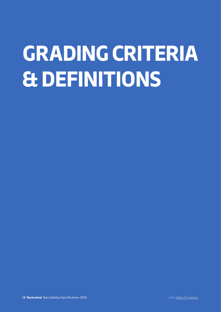# **GRADING CRITERIA & DEFINITIONS**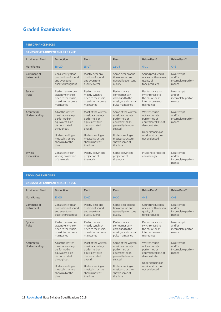# **Graded Examinations**

| <b>PERFORMANCE PIECES</b>               |                                                                                                                                                                                  |                                                                                                                                                                                 |                                                                                                                                                                                     |                                                                                                                                                      |                                                     |  |
|-----------------------------------------|----------------------------------------------------------------------------------------------------------------------------------------------------------------------------------|---------------------------------------------------------------------------------------------------------------------------------------------------------------------------------|-------------------------------------------------------------------------------------------------------------------------------------------------------------------------------------|------------------------------------------------------------------------------------------------------------------------------------------------------|-----------------------------------------------------|--|
| <b>BANDS OF ATTAINMENT / MARK RANGE</b> |                                                                                                                                                                                  |                                                                                                                                                                                 |                                                                                                                                                                                     |                                                                                                                                                      |                                                     |  |
| <b>Attainment Band</b>                  | <b>Distinction</b>                                                                                                                                                               | Merit                                                                                                                                                                           | <b>Pass</b>                                                                                                                                                                         | <b>Below Pass 1</b>                                                                                                                                  | <b>Below Pass 2</b>                                 |  |
| Mark Range                              | $18 - 20$                                                                                                                                                                        | $15 - 17$                                                                                                                                                                       | $12 - 14$                                                                                                                                                                           | $6 - 11$                                                                                                                                             | $0 - 5$                                             |  |
| Command of<br>Instrument                | Consistently clear<br>production of sound<br>and even tone<br>quality throughout                                                                                                 | Mostly clear pro-<br>duction of sound<br>and even tone<br>quality overall                                                                                                       | Some clear produc-<br>tion of sound and<br>generally even tone<br>quality                                                                                                           | Sound produced is<br>unclear with uneven<br>quality of<br>tone produced                                                                              | No attempt<br>and/or<br>incomplete perfor-<br>mance |  |
| Sync or<br>Pulse                        | Performance con-<br>sistently synchro-<br>nised to the music,<br>or an internal pulse<br>maintained                                                                              | Performance<br>mostly synchro-<br>nised to the music,<br>or an internal pulse<br>maintained                                                                                     | Performance<br>sometimes syn-<br>chronised to the<br>music, or an internal<br>pulse maintained                                                                                      | Performance not<br>synchronised to<br>the music, or an<br>internal pulse not<br>maintained                                                           | No attempt<br>and/or<br>incomplete perfor-<br>mance |  |
| Accuracy &<br>Understanding             | All of the written<br>music accurately<br>performed or<br>equivalent skills<br>demonstrated<br>throughout.<br>Understanding of<br>musical structure<br>shown all of the<br>time. | Most of the written<br>music accurately<br>performed or<br>equivalent skills<br>demonstrated<br>overall.<br>Understanding of<br>musical structure<br>shown most of<br>the time. | Some of the written<br>music accurately<br>performed or<br>equivalent skills<br>qenerally demon-<br>strated.<br>Understanding of<br>musical structure<br>shown some of<br>the time. | Written music<br>not accurately<br>performed or<br>equivalent skills not<br>demonstrated.<br>Understanding of<br>musical structure<br>not evidenced. | No attempt<br>and/or<br>incomplete perfor-<br>mance |  |
| Style &<br>Expression                   | Consistently con-<br>vincing projection<br>of the music                                                                                                                          | Mostly convincing<br>projection of<br>the music                                                                                                                                 | Some convincing<br>projection of<br>the music                                                                                                                                       | Music not projected<br>convincingly                                                                                                                  | No attempt<br>and/or<br>incomplete perfor-<br>mance |  |

## **TECHNICAL EXERCISES**

## **BANDS OF ATTAINMENT / MARK RANGE**

| <b>Attainment Band</b>      | <b>Distinction</b>                                                                                                                                                               | <b>Merit</b>                                                                                                                                                                    | Pass                                                                                                                                                                                | <b>Below Pass 1</b>                                                                                                                                  | <b>Below Pass 2</b>                                 |
|-----------------------------|----------------------------------------------------------------------------------------------------------------------------------------------------------------------------------|---------------------------------------------------------------------------------------------------------------------------------------------------------------------------------|-------------------------------------------------------------------------------------------------------------------------------------------------------------------------------------|------------------------------------------------------------------------------------------------------------------------------------------------------|-----------------------------------------------------|
| Mark Range                  | $13 - 15$                                                                                                                                                                        | $11 - 12$                                                                                                                                                                       | $9 - 10$                                                                                                                                                                            | $4 - 8$                                                                                                                                              | $0 - 3$                                             |
| Command of<br>Instrument    | Consistently clear<br>production of sound<br>and even tone<br>quality throughout                                                                                                 | Mostly clear pro-<br>duction of sound<br>and even tone<br>quality overall                                                                                                       | Some clear produc-<br>tion of sound and<br>generally even tone<br>quality                                                                                                           | Sound produced is<br>unclear with uneven<br>quality of<br>tone produced                                                                              | No attempt<br>and/or<br>incomplete perfor-<br>mance |
| Sync or<br>Pulse            | Performance con-<br>sistently synchro-<br>nised to the music,<br>or an internal pulse<br>maintained                                                                              | Performance<br>mostly synchro-<br>nised to the music.<br>or an internal pulse<br>maintained                                                                                     | Performance<br>sometimes syn-<br>chronised to the<br>music, or an internal<br>pulse maintained                                                                                      | Performance not<br>synchronised to<br>the music, or an<br>internal pulse not<br>maintained                                                           | No attempt<br>and/or<br>incomplete perfor-<br>mance |
| Accuracy &<br>Understanding | All of the written<br>music accurately<br>performed or<br>equivalent skills<br>demonstrated<br>throughout.<br>Understanding of<br>musical structure<br>shown all of the<br>time. | Most of the written<br>music accurately<br>performed or<br>equivalent skills<br>demonstrated<br>overall.<br>Understanding of<br>musical structure<br>shown most of<br>the time. | Some of the written<br>music accurately<br>performed or<br>equivalent skills<br>generally demon-<br>strated.<br>Understanding of<br>musical structure<br>shown some of<br>the time. | Written music<br>not accurately<br>performed or<br>equivalent skills not<br>demonstrated.<br>Understanding of<br>musical structure<br>not evidenced. | No attempt<br>and/or<br>incomplete perfor-<br>mance |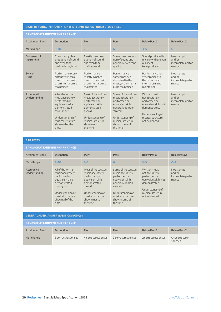## **SIGHT READING / IMPROVISATION & INTERPRETATION / QUICK STUDY PIECE**

## **BANDS OF ATTAINMENT / MARK RANGE**

| -74111-20 - 91 - 81 - 8418 81418 814 814 814 814 814 82 8 |                                                                                                                                                                                  |                                                                                                                                                                                 |                                                                                                                                                                                     |                                                                                                                                                      |                                                     |
|-----------------------------------------------------------|----------------------------------------------------------------------------------------------------------------------------------------------------------------------------------|---------------------------------------------------------------------------------------------------------------------------------------------------------------------------------|-------------------------------------------------------------------------------------------------------------------------------------------------------------------------------------|------------------------------------------------------------------------------------------------------------------------------------------------------|-----------------------------------------------------|
| <b>Attainment Band</b>                                    | <b>Distinction</b>                                                                                                                                                               | <b>Merit</b>                                                                                                                                                                    | Pass                                                                                                                                                                                | <b>Below Pass 1</b>                                                                                                                                  | <b>Below Pass 2</b>                                 |
| Mark Range                                                | $9 - 10$                                                                                                                                                                         | $7 - 8$                                                                                                                                                                         | 6                                                                                                                                                                                   | $3 - 5$                                                                                                                                              | $0 - 2$                                             |
| Command of<br>Instrument                                  | Consistently clear<br>production of sound<br>and even tone<br>quality throughout                                                                                                 | Mostly clear pro-<br>duction of sound<br>and even tone<br>quality overall                                                                                                       | Some clear produc-<br>tion of sound and<br>generally even tone<br>quality                                                                                                           | Sound produced is<br>unclear with uneven<br>quality of<br>tone produced                                                                              | No attempt<br>and/or<br>incomplete perfor-<br>mance |
| Sync or<br>Pulse                                          | Performance con-<br>sistently synchro-<br>nised to the music,<br>or an internal pulse<br>maintained                                                                              | Performance<br>mostly synchro-<br>nised to the music.<br>or an internal pulse<br>maintained                                                                                     | Performance<br>sometimes syn-<br>chronised to the<br>music, or an internal<br>pulse maintained                                                                                      | Performance not<br>synchronised to<br>the music, or an<br>internal pulse not<br>maintained                                                           | No attempt<br>and/or<br>incomplete perfor-<br>mance |
| Accuracy &<br>Understanding                               | All of the written<br>music accurately<br>performed or<br>equivalent skills<br>demonstrated<br>throughout.<br>Understanding of<br>musical structure<br>shown all of the<br>time. | Most of the written<br>music accurately<br>performed or<br>equivalent skills<br>demonstrated<br>overall.<br>Understanding of<br>musical structure<br>shown most of<br>the time. | Some of the written<br>music accurately<br>performed or<br>equivalent skills<br>qenerally demon-<br>strated.<br>Understanding of<br>musical structure<br>shown some of<br>the time. | Written music<br>not accurately<br>performed or<br>equivalent skills not<br>demonstrated.<br>Understanding of<br>musical structure<br>not evidenced. | No attempt<br>and/or<br>incomplete perfor-<br>mance |

**EAR TESTS**

| EAN 1 EJ 1 J                            |                                                                                                                                                                                  |                                                                                                                                                                                 |                                                                                                                                                                                     |                                                                                                                                                      |                                                     |  |
|-----------------------------------------|----------------------------------------------------------------------------------------------------------------------------------------------------------------------------------|---------------------------------------------------------------------------------------------------------------------------------------------------------------------------------|-------------------------------------------------------------------------------------------------------------------------------------------------------------------------------------|------------------------------------------------------------------------------------------------------------------------------------------------------|-----------------------------------------------------|--|
| <b>BANDS OF ATTAINMENT / MARK RANGE</b> |                                                                                                                                                                                  |                                                                                                                                                                                 |                                                                                                                                                                                     |                                                                                                                                                      |                                                     |  |
| <b>Attainment Band</b>                  | <b>Distinction</b>                                                                                                                                                               | <b>Merit</b>                                                                                                                                                                    | Pass                                                                                                                                                                                | <b>Below Pass 1</b>                                                                                                                                  | <b>Below Pass 2</b>                                 |  |
| Mark Range                              | $9 - 10$                                                                                                                                                                         | $7 - 8$                                                                                                                                                                         | 6                                                                                                                                                                                   | $3 - 5$                                                                                                                                              | $0 - 2$                                             |  |
| Accuracy &<br>Understanding             | All of the written<br>music accurately<br>performed or<br>equivalent skills<br>demonstrated<br>throughout.<br>Understanding of<br>musical structure<br>shown all of the<br>time. | Most of the written<br>music accurately<br>performed or<br>equivalent skills<br>demonstrated<br>overall.<br>Understanding of<br>musical structure<br>shown most of<br>the time. | Some of the written<br>music accurately<br>performed or<br>equivalent skills<br>qenerally demon-<br>strated.<br>Understanding of<br>musical structure<br>shown some of<br>the time. | Written music<br>not accurately<br>performed or<br>equivalent skills not<br>demonstrated.<br>Understanding of<br>musical structure<br>not evidenced. | No attempt<br>and/or<br>incomplete perfor-<br>mance |  |

| <b>GENERAL MUSICIANSHIP QUESTIONS (GMQS)</b> |                     |                     |                     |                     |                              |
|----------------------------------------------|---------------------|---------------------|---------------------|---------------------|------------------------------|
| <b>BANDS OF ATTAINMENT / MARK RANGE</b>      |                     |                     |                     |                     |                              |
| <b>Attainment Band</b>                       | <b>Distinction</b>  | <b>Merit</b>        | Pass                | <b>Below Pass 1</b> | <b>Below Pass 2</b>          |
| Mark Range                                   | 5 correct responses | 4 correct responses | 3 correct responses | 2 correct responses | $0-1$ correct re-<br>sponses |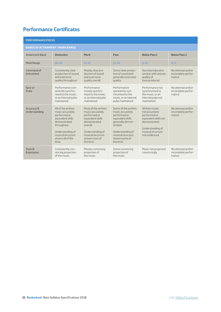# **Performance Certificates**

| <b>PERFORMANCE PIECES</b>               |                                                                                                                                                                                  |                                                                                                                                                                                 |                                                                                                                                                                                     |                                                                                                                                                     |                                                  |
|-----------------------------------------|----------------------------------------------------------------------------------------------------------------------------------------------------------------------------------|---------------------------------------------------------------------------------------------------------------------------------------------------------------------------------|-------------------------------------------------------------------------------------------------------------------------------------------------------------------------------------|-----------------------------------------------------------------------------------------------------------------------------------------------------|--------------------------------------------------|
| <b>BANDS OF ATTAINMENT / MARK RANGE</b> |                                                                                                                                                                                  |                                                                                                                                                                                 |                                                                                                                                                                                     |                                                                                                                                                     |                                                  |
| <b>Attainment Band</b>                  | <b>Distinction</b>                                                                                                                                                               | <b>Merit</b>                                                                                                                                                                    | Pass                                                                                                                                                                                | <b>Below Pass 1</b>                                                                                                                                 | <b>Below Pass 2</b>                              |
| Mark Range                              | $18 - 20$                                                                                                                                                                        | $15 - 17$                                                                                                                                                                       | $12 - 14$                                                                                                                                                                           | $6 - 11$                                                                                                                                            | $0 - 5$                                          |
| Command of<br>Instrument                | Consistently clear<br>production of sound<br>and even tone<br>quality throughout                                                                                                 | Mostly clear pro-<br>duction of sound<br>and even tone<br>quality overall                                                                                                       | Some clear produc-<br>tion of sound and<br>generally even tone<br>quality                                                                                                           | Sound produced is<br>unclear with uneven<br>quality of<br>tone produced                                                                             | No attempt and/or<br>incomplete perfor-<br>mance |
| Sync or<br>Pulse                        | Performance con-<br>sistently synchro-<br>nised to the music,<br>or an internal pulse<br>maintained                                                                              | Performance<br>mostly synchro-<br>nised to the music.<br>or an internal pulse<br>maintained                                                                                     | Performance<br>sometimes syn-<br>chronised to the<br>music, or an internal<br>pulse maintained                                                                                      | Performance not<br>synchronised to<br>the music, or an<br>internal pulse not<br>maintained                                                          | No attempt and/or<br>incomplete perfor-<br>mance |
| Accuracy &<br>Understanding             | All of the written<br>music accurately<br>performed or<br>equivalent skills<br>demonstrated<br>throughout.<br>Understanding of<br>musical structure<br>shown all of the<br>time. | Most of the written<br>music accurately<br>performed or<br>equivalent skills<br>demonstrated<br>overall.<br>Understanding of<br>musical structure<br>shown most of<br>the time. | Some of the written<br>music accurately<br>performed or<br>equivalent skills<br>qenerally demon-<br>strated.<br>Understanding of<br>musical structure<br>shown some of<br>the time. | Written music<br>not accurately<br>performed or<br>equivalent skills not<br>demonstrated.<br>Understanding of<br>musical structure<br>heanehive ton | No attempt and/or<br>incomplete perfor-<br>mance |
| Style &<br>Expression                   | Consistently con-<br>vincing projection<br>of the music.                                                                                                                         | Mostly convincing<br>projection of<br>the music.                                                                                                                                | Some convincing<br>projection of<br>the music.                                                                                                                                      | Music not projected<br>convincingly                                                                                                                 | No attempt and/or<br>incomplete perfor-<br>mance |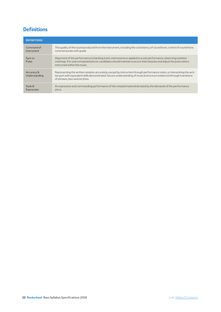# **Definitions**

| <b>DEFINITIONS</b>          |                                                                                                                                                                                                                                                                                     |
|-----------------------------|-------------------------------------------------------------------------------------------------------------------------------------------------------------------------------------------------------------------------------------------------------------------------------------|
| Command of<br>Instrument    | The quality of the sound produced from the instrument, including the consistency of sound/tone, control of sound/tone<br>commensurate with grade.                                                                                                                                   |
| Sync or<br>Pulse            | Alignment of the performance to backing track, metronome or applied to a solo performance, observing notation<br>markings. For unaccompanied pieces candidates should maintain a secure internal pulse and adjust the pulse where<br>instructed within the music.                   |
| Accuracy &<br>Understanding | Representing the written notation accurately, except by instruction through performance notes, or interpreting the writ-<br>ten part with equivalent skills demonstrated. Secure understanding of musical structure evidenced through transitions<br>of phrases, bars and sections. |
| Style &<br>Expression       | An expressive and commanding performance of the notated material dictated by the demands of the performance<br>piece.                                                                                                                                                               |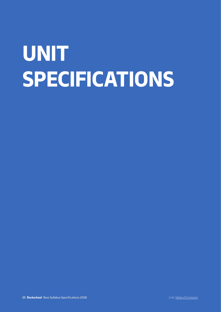# **UNIT SPECIFICATIONS**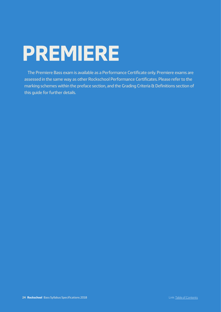# **PREMIERE**

The Premiere Bass exam is available as a Performance Certificate only. Premiere exams are assessed in the same way as other Rockschool Performance Certificates. Please refer to the marking schemes within the preface section, and the Grading Criteria & Definitions section of this guide for further details.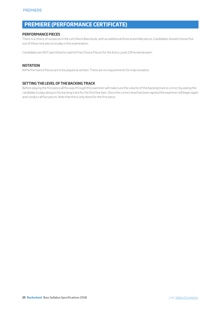# **PREMIERE (PERFORMANCE CERTIFICATE)**

## **PERFORMANCE PIECES**

There is a choice of six pieces in the Let's Rock Bass book, with an additional three ensemble pieces. Candidates should choose five out of these nine pieces to play in the examination.

Candidates are NOT permitted to submit Free Choice Pieces for the Entry Level 2 (Premiere) exam.

## **NOTATION**

All Performance Pieces are to be played as written. There are no requirements for improvisation.

## **SETTING THE LEVEL OF THE BACKING TRACK**

Before playing the first piece all the way through the examiner will make sure the volume of the backing track is correct by asking the candidate to play along to the backing track for the first few bars. Once the correct level has been agreed the examiner will begin again and conduct all five pieces. Note that this is only done for the first piece.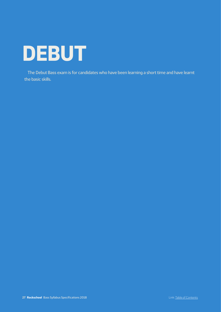

The Debut Bass exam is for candidates who have been learning a short time and have learnt the basic skills.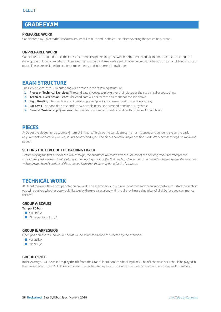# **GRADE EXAM**

## **PREPARED WORK**

Candidates play 3 pieces that last a maximum of 1 minute and Technical Exercises covering the preliminary areas.

#### **UNPREPARED WORK**

Candidates are required to use their bass for a simple sight-reading test, which is rhythmic reading and two ear tests that begin to develop melodic recall and rhythmic sense. The final part of the exam is a set of 5 simple questions based on the candidate's choice of piece. These are designed to explore simple theory and instrument knowledge

# **EXAM STRUCTURE**

The Debut exam lasts 15 minutes and will be taken in the following structure:

- **1. Pieces or Technical Exercises**: The candidate chooses to play either their pieces or their technical exercises first.
- **2. Technical Exercises or Pieces**: The candidate will perform the element not chosen above
- **3. Sight Reading**: The candidate is given a simple and previously unseen test to practice and play
- **4. Ear Tests**: The candidate responds to two simple tests. One is melodic and one is rhythmic
- **5. General Musicianship Questions**: The candidate answers 5 questions related to a piece of their choice

## **PIECES**

At Debut the pieces last up to a maximum of 1 minute. This is so the candidate can remain focused and concentrate on the basic requirements of notation, values, sound, control and sync. The pieces contain simple position work. Work across strings is simple and paced.

#### **SETTING THE LEVEL OF THE BACKING TRACK**

*Before playing the first piece all the way through, the examiner will make sure the volume of the backing track is correct for the candidate by asking them to play along to the backing track for the first few bars. Once the correct level has been agreed, the examiner will begin again and conduct all three pieces. Note that this is only done for the first piece.* 

## **TECHNICAL WORK**

At Debut there are three groups of technical work. The examiner will ask a selection from each group and before you start the section you will be asked whether you would like to play the exercises along with the click or hear a single bar of click before you commence the test.

#### **GROUP A: SCALES**

**Tempo: 70 bpm**  Major: E, A  $\blacksquare$  Minor pentatonic: E, A

## **GROUP B: ARPEGGIOS**

Open position chords. Individual chords will be strummed once as directed by the examiner

- Major: E, A
- Minor: E, A

## **GROUP C: RIFF**

In the exam you will be asked to play the riff from the Grade Debut book to a backing track. The riff shown in bar 1 should be played in the same shape in bars 2–4. The root note of the pattern to be played is shown in the music in each of the subsequent three bars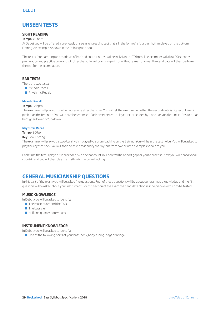# **UNSEEN TESTS**

## **SIGHT READING**

#### **Tempo:** 70 bpm

At Debut you will be offered a previously unseen sight reading test that is in the form of a four bar rhythm played on the bottom E string. An example is shown in the Debut grade book.

The test is four bars long and made up of half and quarter notes, will be in 4/4 and at 70 bpm. The examiner will allow 90 seconds preparation and practice time and will offer the option of practising with or without a metronome. The candidate will then perform the test for the examination.

## **EAR TESTS**

There are two tests:

- Melodic Recall
- Rhythmic Recall.

#### **Melodic Recall**

#### **Tempo:** 85bpm

The examiner will play you two half notes one after the other. You will tell the examiner whether the second note is higher or lower in pitch than the first note. You will hear the test twice. Each time the test is played it is preceded by a one bar vocal count-in. Answers can be 'higher/lower' or 'up/down'.

#### **Rhythmic Recall**

**Tempo:** 80 bpm

#### **Key:** Low E string

The examiner will play you a two-bar rhythm played to a drum backing on the E string. You will hear the test twice. You will be asked to play the rhythm back. You will then be asked to identify the rhythm from two printed examples shown to you.

Each time the test is played it is preceded by a one bar count-in. There will be a short gap for you to practise. Next you will hear a vocal count-in and you will then play the rhythm to the drum backing.

# **GENERAL MUSICIANSHIP QUESTIONS**

In this part of the exam you will be asked five questions. Four of these questions will be about general music knowledge and the fifth question will be asked about your instrument. For this section of the exam the candidate chooses the piece on which to be tested.

#### **MUSIC KNOWLEDGE:**

In Debut you will be asked to identify:

- $\blacksquare$  The music stave and the TAB
- $\blacksquare$  The bass clef
- $\blacksquare$  Half and quarter note values

## **INSTRUMENT KNOWLEDGE:**

In Debut you will be asked to identify:

■ One of the following parts of your bass: neck, body, tuning-pegs or bridge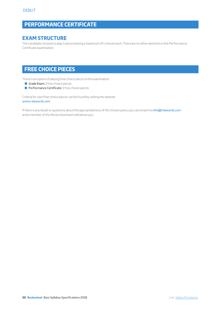# **PERFORMANCE CERTIFICATE**

# **EXAM STRUCTURE**

The candidate chooses to play 5 pieces lasting a maximum of 1 minute each. There are no other elements in the Performance Certificate examination.

# **FREE CHOICE PIECES**

There is an option of playing free choice pieces in the examination.

- Grade Exam: 2 free choice pieces
- **Performance Certificate:** 3 free choice pieces

Criteria for own free choice pieces can be found by visiting the website: www.rslawards.com

If there is any doubt or questions about the appropriateness of the chosen piece, you can email it to info@rslawards.com and a member of the Rockschool team will advise you.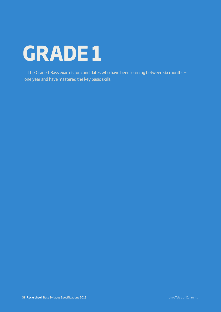# **GRADE 1**

The Grade 1 Bass exam is for candidates who have been learning between six months – one year and have mastered the key basic skills.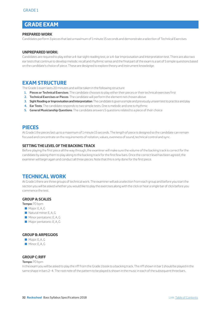# **GRADE EXAM**

## **PREPARED WORK**

Candidates perform 3 pieces that last a maximum of 1 minute 15 seconds and demonstrate a selection of Technical Exercises

#### **UNPREPARED WORK:**

Candidates are required to play either a 4-bar sight reading test, or a 4-bar Improvisation and Interpretation test. There are also two ear tests that continue to develop melodic recall and rhythmic sense and the final part of the exam is a set of 5 simple questions based on the candidate's choice of piece. These are designed to explore theory and instrument knowledge.

# **EXAM STRUCTURE**

The Grade 1 exam lasts 20 minutes and will be taken in the following structure:

- **1. Pieces or Technical Exercises**: The candidate chooses to play either their pieces or their technical exercises first
- **2. Technical Exercises or Pieces**: The candidate will perform the element not chosen above
- **3. Sight Reading or Improvisation and Interpretation**: The candidate is given a simple and previously unseen test to practice and play
- **4. Ear Tests**: The candidate responds to two simple tests. One is melodic and one is rhythmic
- **5. General Musicianship Questions**: The candidate answers 5 questions related to a piece of their choice

## **PIECES**

At Grade 1 the pieces last up to a maximum of 1 minute 15 seconds. The length of piece is designed so the candidate can remain focused and concentrate on the requirements of notation, values, evenness of sound, technical control and sync.

## **SETTING THE LEVEL OF THE BACKING TRACK**

Before playing the first piece all the way through, the examiner will make sure the volume of the backing track is correct for the candidate by asking them to play along to the backing track for the first few bars. Once the correct level has been agreed, the examiner will begin again and conduct all three pieces. Note that this is only done for the first piece.

## **TECHNICAL WORK**

At Grade 1 there are three groups of technical work. The examiner will ask a selection from each group and before you start the section you will be asked whether you would like to play the exercises along with the click or hear a single bar of click before you commence the test.

## **GROUP A: SCALES**

**Tempo:** 70 bpm

- Major: E, A, G
- $\blacksquare$  Natural minor: E, A, G
- $\blacksquare$  Minor pentatonic: E, A, G
- **Major pentatonic: E, A, G**

## **GROUP B: ARPEGGIOS**

- Major: F, A, G
- Minor: E, A, G

## **GROUP C: RIFF**

#### **Tempo:** 70 bpm

In the exam you will be asked to play the riff from the Grade 1 book to a backing track. The riff shown in bar 1 should be played in the same shape in bars 2-4. The root note of the pattern to be played is shown in the music in each of the subsequent three bars.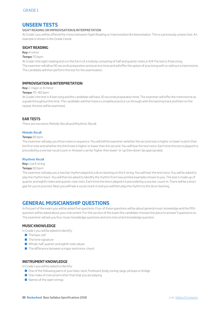# **UNSEEN TESTS**

## SIGHT READING OR IMPROVISATION & INTERPRETATION

At Grade 1 you will be offered the choice between Sight Reading or Improvisation & Interpretation. This is a previously unseen test. An example is shown in the Grade 1 book.

## **SIGHT READING**

**Key:** A minor

#### **Tempo:** 70 bpm

At Grade 1 the sight reading test is in the form of a melody consisting of half and quarter notes in 4/4.The test is 4 bars long. The examiner will allow 90 seconds preparation and practice time and will offer the option of practising with or without a metronome. The candidate will then perform the test for the examination.

## **IMPROVISATION & INTERPRETATION**

**Key:** C major or A minor

#### **Tempo:** 70–80 bpm

At Grade 1 the test is 4 bars long and the candidate will have 30 seconds preparation time. The examiner will offer the metronome as a guide throughout this time. The candidate will then have a complete practice run through with the backing track and then on the repeat, the test will be examined.

## **EAR TESTS**

There are two tests: Melodic Recall and Rhythmic Recall.

#### **Melodic Recall**

#### **Tempo:** 85 bpm

The examiner will play you three notes in sequence. You will tell the examiner whether the second note is higher or lower in pitch than the first note and whether the third note is higher or lower than the second. You will hear the test twice. Each time the test is played it is preceded by a one bar vocal count-in. Answers can be 'higher then lower' or 'up then down' (as appropriate).

#### **Rhythmic Recall**

**Key:** Low E string

#### **Tempo:** 90 bpm

The examiner will play you a two bar rhythm played to a drum backing on the E string. You will hear the test twice. You will be asked to play the rhythm back. You will then be asked to identify the rhythm from two printed examples shown to you. The test is made up of quarter and eighth notes and quarter note rests. Each time the test is played it is preceded by a one bar count-in. There will be a short gap for you to practise. Next you will hear a vocal count-in and you will then play the rhythm to the drum backing.

# **GENERAL MUSICIANSHIP QUESTIONS**

In this part of the exam you will be asked five questions. Four of these questions will be about general music knowledge and the fifth question will be asked about your instrument. For this section of the exam the candidate chooses the piece to answer 5 questions on. The examiner will ask you four music knowledge questions and one instrument knowledge question.

## **MUSIC KNOWLEDGE**

In Grade 1 you will be asked to identify:

- $\blacksquare$  The bass clef
- $\blacksquare$  The time signature
- $\blacksquare$  Whole, half, quarter and eighth note values
- $\blacksquare$  The difference between a major and minor chord

## **INSTRUMENT KNOWLEDGE**

In Grade 1 you will be asked to identify:

- One of the following parts of your bass: neck, fretboard, body, tuning-pegs, pickups or bridge
- $\Box$  One make of instrument other than that you are playing
- $\blacksquare$  Names of the open strings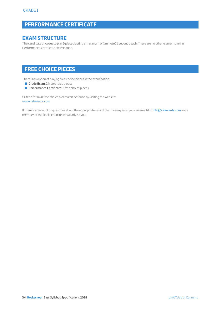# **PERFORMANCE CERTIFICATE**

# **EXAM STRUCTURE**

The candidate chooses to play 5 pieces lasting a maximum of 1 minute 15 seconds each. There are no other elements in the Performance Certificate examination.

# **FREE CHOICE PIECES**

There is an option of playing free choice pieces in the examination.

- Grade Exam: 2 free choice pieces
- **Performance Certificate:** 3 free choice pieces

Criteria for own free choice pieces can be found by visiting the website: www.rslawards.com

If there is any doubt or questions about the appropriateness of the chosen piece, you can email it to info@rslawards.com and a member of the Rockschool team will advise you.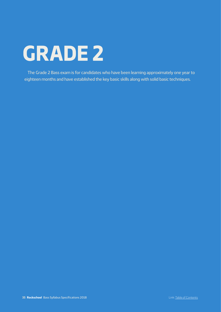# **GRADE 2**

The Grade 2 Bass exam is for candidates who have been learning approximately one year to eighteen months and have established the key basic skills along with solid basic techniques.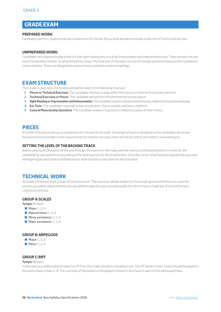# **GRADE EXAM**

## **PREPARED WORK:**

Candidates perform 3 pieces that last a maximum of 1 minute 30 seconds and demonstrate a selection of Technical Exercises.

## **UNPREPARED WORK:**

Candidates are required to play either a 4-bar sight reading test or a 4 bar Improvisation and Interpretation test. There are also two ear tests that develop melodic recall and rhythmic sense. The final part of the exam is a set of 5 simple questions based on the candidate's choice of piece. These are designed to explore theory and instrument knowledge.

# **EXAM STRUCTURE**

The Grade 2 exam lasts 20 minutes and will be taken in the following structure:

- **1. Pieces or Technical Exercises**: The candidate chooses to play either their pieces or their technical exercises first
- **2. Technical Exercises or Pieces**: The candidate will perform the element not chosen above
- **3. Sight Reading or Improvisation and Interpretation**: The candidate is given a simple and previously unseen test to practice and play
- **4. Ear Tests**: The candidate responds to two simple tests. One is melodic and one is rhythmic
- **5. General Musicianship Questions**: The candidate answers 5 questions related to a piece of their choice

# **PIECES**

At Grade 2 the pieces last up to a maximum of 1 minute 30 seconds. The length of piece is designed so the candidate can remain focused and concentrate on the requirements of notation accuracy, basic technical control, articulation, sound and sync.

## **SETTING THE LEVEL OF THE BACKING TRACK**

*Before playing the first piece all the way through, the examiner will make sure the volume of the backing track is correct for the candidate by asking them to play along to the backing track for the first few bars. Once the correct level has been agreed, the examiner will begin again and conduct all three pieces. Note that this is only done for the first piece.* 

# **TECHNICAL WORK**

At Grade 2 there are three groups of technical work. The examiner will ask a selection from each group and before you start the section you will be asked whether you would like to play the exercises along with the click or hear a single bar of click before you commence the test.

## **GROUP A: SCALES**

**Tempo:** 80 bpm

- $\blacksquare$  Major: C, G, A
- $\blacksquare$  Natural minor: C, G, A
- $\blacksquare$  Minor pentatonic: C, G, A
- $\blacksquare$  Major pentatonic: C, G, A

## **GROUP B: ARPEGGIOS**

- **Major: C, G, A**
- $\blacksquare$  Minor: C, G, A

## **GROUP C: RIFF**

#### **Tempo:** 80 bpm

In the exam you will be asked to play the riff from the Grade 2 book to a backing track. The riff shown in bars 1 and 2 should be played in the same shape in bars 3–8. The root note of the pattern to be played is shown in the music in each of the subsequent bars.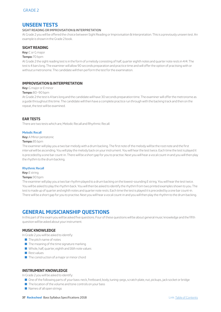# **UNSEEN TESTS**

## SIGHT READING OR IMPROVISATION & INTERPRETATION

At Grade 2 you will be offered the choice between Sight Reading or Improvisation & Interpretation. This is a previously unseen test. An example is shown in the Grade 2 book.

## **SIGHT READING**

**Key:** C or G major

#### **Tempo:** 70 bpm

At Grade 2 the sight reading test is in the form of a melody consisting of half, quarter eighth notes and quarter note rests in 4/4. The test is 4 bars long. The examiner will allow 90 seconds preparation and practice time and will offer the option of practising with or without a metronome. The candidate will then perform the test for the examination.

## **IMPROVISATION & INTERPRETATION**

**Key:** G major or E minor

#### **Tempo:** 80–90 bpm

At Grade 2 the test is 4 bars long and the candidate will have 30 seconds preparation time. The examiner will offer the metronome as a guide throughout this time. The candidate will then have a complete practice run through with the backing track and then on the repeat, the test will be examined.

## **EAR TESTS**

There are two tests which are, Melodic Recall and Rhythmic Recall.

#### **Melodic Recall**

**Key:** A Minor pentatonic

#### **Tempo:** 85 bpm

The examiner will play you a two bar melody with a drum backing. The first note of the melody will be the root note and the first interval will be ascending. You will play the melody back on your instrument. You will hear the test twice. Each time the test is played it is preceded by a one bar count-in. There will be a short gap for you to practise. Next you will hear a vocal count-in and you will then play the rhythm to the drum backing.

#### **Rhythmic Recall**

**Key:** E string

#### **Tempo:** 90 bpm

The examiner will play you a two bar rhythm played to a drum backing on the lowest-sounding E string. You will hear the test twice. You will be asked to play the rhythm back. You will then be asked to identify the rhythm from two printed examples shown to you. The test is made up of quarter and eighth notes and quarter note rests. Each time the test is played it is preceded by a one bar count-in. There will be a short gap for you to practise. Next you will hear a vocal count-in and you will then play the rhythm to the drum backing.

# **GENERAL MUSICIANSHIP QUESTIONS**

In this part of the exam you will be asked five questions. Four of these questions will be about general music knowledge and the fifth question will be asked about your instrument.

#### **MUSIC KNOWLEDGE**

In Grade 2 you will be asked to identify:

- $\blacksquare$  The pitch name of notes
- $\blacksquare$  The meaning of the time signature marking
- Whole, half, quarter, eighth and 16th note values
- **Rest values**
- $\blacksquare$  The construction of a major or minor chord

## **INSTRUMENT KNOWLEDGE**

In Grade 2 you will be asked to identify:

- One of the following parts of your bass: neck, fretboard, body, tuning-pegs, scratch plate, nut, pickups, jack socket or bridge
- $\blacksquare$  The location of the volume and tone controls on your bass
- $\blacksquare$  Names of all open strings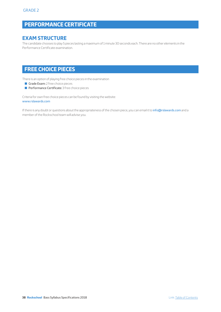# **PERFORMANCE CERTIFICATE**

# **EXAM STRUCTURE**

The candidate chooses to play 5 pieces lasting a maximum of 1 minute 30 seconds each. There are no other elements in the Performance Certificate examination.

# **FREE CHOICE PIECES**

There is an option of playing free choice pieces in the examination

- Grade Exam: 2 free choice pieces
- **Performance Certificate:** 3 free choice pieces

Criteria for own free choice pieces can be found by visiting the website: www.rslawards.com

If there is any doubt or questions about the appropriateness of the chosen piece, you can email it to info@rslawards.com and a member of the Rockschool team will advise you.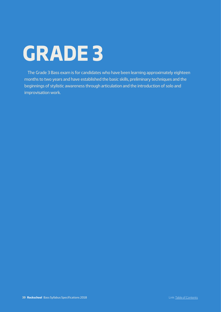# **GRADE 3**

The Grade 3 Bass exam is for candidates who have been learning approximately eighteen months to two years and have established the basic skills, preliminary techniques and the beginnings of stylistic awareness through articulation and the introduction of solo and improvisation work.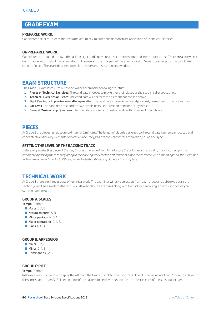# **GRADE EXAM**

## **PREPARED WORK:**

Candidates perform 3 pieces that last a maximum of 2 minutes and demonstrate a selection of Technical Exercises.

#### **UNPREPARED WORK:**

Candidates are required to play either a 4 bar sight reading test or a 4 bar Improvisation and Interpretation test. There are also two ear tests that develop melodic recall and rhythmic sense and the final part of the exam is a set of 5 questions based on the candidate's choice of piece. These are designed to explore theory and instrument knowledge.

# **EXAM STRUCTURE**

The Grade 3 exam lasts 25 minutes and will be taken in the following structure.

- **1. Pieces or Technical Exercises**: The candidate chooses to play either their pieces or their technical exercises first
- **2. Technical Exercises or Pieces**: The candidate will perform the element not chosen above
- **3. Sight Reading or Improvisation and Interpretation**: The candidate is given a simple and previously unseen test to practice and play
- **4. Ear Tests**: The candidate responds to two simple tests. One is melodic and one is rhythmic
- **5. General Musicianship Questions**: The candidate answers 5 questions related to a piece of their choice

## **PIECES**

At Grade 3 the pieces last up to a maximum of 2 minutes. The length of piece is designed so the candidate can remain focused and concentrate on the requirements of notation accuracy, basic technical control, articulation, sound and sync.

## **SETTING THE LEVEL OF THE BACKING TRACK**

*Before playing the first piece all the way through, the examiner will make sure the volume of the backing track is correct for the candidate by asking them to play along to the backing track for the first few bars. Once the correct level has been agreed, the examiner will begin again and conduct all three pieces. Note that this is only done for the first piece.* 

## **TECHNICAL WORK**

At Grade 3 there are three groups of technical work. The examiner will ask a selection from each group and before you start the section you will be asked whether you would like to play the exercises along with the click or hear a single bar of click before you commence the test.

#### **GROUP A: SCALES**

**Tempo:** 90 bpm

- $\blacksquare$  Major: G,A, B
- $\blacksquare$  Natural minor: G,A, B
- $\blacksquare$  Minor pentatonic: G, A, B
- $\blacksquare$  Major pentatonic: G, A, B
- Blues: G,A, B

#### **GROUP B: ARPEGGIOS**

- $\blacksquare$  Major: G,A, B
- $\blacksquare$  Minor: G, A, B
- Dominant 7: G, A B

#### **GROUP C: RIFF**

#### **Tempo:** 90 bpm

In the exam you will be asked to play the riff from the Grade 3 book to a backing track. The riff shown in bars 1 and 2 should be played in the same shape in bars 3–8. The root note of the pattern to be played is shown in the music in each of the subsequent bars.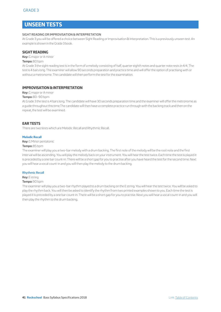# **UNSEEN TESTS**

#### SIGHT READING OR IMPROVISATION & INTERPRETATION

At Grade 3 you will be offered a choice between Sight Reading or Improvisation & Interpretation. This is a previously unseen test. An example is shown in the Grade 3 book.

#### **SIGHT READING**

#### **Key:** G major or A minor

#### **Tempo:** 80 bpm

At Grade 3 the sight reading test is in the form of a melody consisting of half, quarter eighth notes and quarter note rests in 4/4. The test is 4 bars long. The examiner will allow 90 seconds preparation and practice time and will offer the option of practising with or without a metronome. The candidate will then perform the test for the examination.

## **IMPROVISATION & INTERPRETATION**

**Key:** G major or A minor

#### **Tempo:** 80–90 bpm

At Grade 3 the test is 4 bars long. The candidate will have 30 seconds preparation time and the examiner will offer the metronome as a guide throughout this time.The candidate will then have a complete practice run through with the backing track and then on the repeat, the test will be examined.

#### **EAR TESTS**

There are two tests which are Melodic Recall and Rhythmic Recall.

#### **Melodic Recall**

**Key:** G Minor pentatonic

#### **Tempo:** 85 bpm

The examiner will play you a two-bar melody with a drum backing. The first note of the melody will be the root note and the first interval will be ascending. You will play the melody back on your instrument. You will hear the test twice. Each time the test is played it is preceded by a one bar count-in. There will be a short gap for you to practise after you have heard the test for the second time. Next you will hear a vocal count-in and you will then play the melody to the drum backing.

#### **Rhythmic Recall**

## **Key:** E string

#### **Tempo:** 90 bpm

The examiner will play you a two-bar rhythm played to a drum backing on the E string. You will hear the test twice. You will be asked to play the rhythm back. You will then be asked to identify the rhythm from two printed examples shown to you. Each time the test is played it is preceded by a one bar count-in. There will be a short gap for you to practise. Next you will hear a vocal count-in and you will then play the rhythm to the drum backing.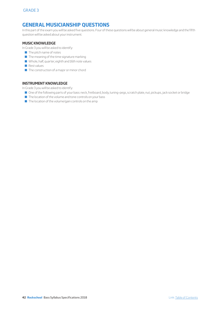# **GENERAL MUSICIANSHIP QUESTIONS**

In this part of the exam you will be asked five questions. Four of these questions will be about general music knowledge and the fifth question will be asked about your instrument.

## **MUSIC KNOWLEDGE**

In Grade 3 you will be asked to identify:

- $\blacksquare$  The pitch name of notes
- $\blacksquare$  The meaning of the time signature marking
- Whole, half, quarter, eighth and 16th note values
- $\blacksquare$  Rest values
- $\blacksquare$  The construction of a major or minor chord

## **INSTRUMENT KNOWLEDGE**

In Grade 3 you will be asked to identify:

- Q One of the following parts of your bass: neck, fretboard, body, tuning-pegs, scratch plate, nut, pickups, jack socket or bridge
- $\blacksquare$  The location of the volume and tone controls on your bass
- **D** The location of the volume/gain controls on the amp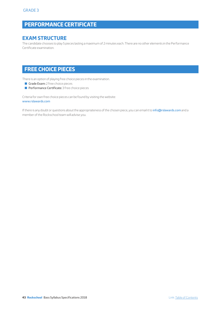# **PERFORMANCE CERTIFICATE**

# **EXAM STRUCTURE**

The candidate chooses to play 5 pieces lasting a maximum of 2 minutes each. There are no other elements in the Performance Certificate examination.

# **FREE CHOICE PIECES**

There is an option of playing free choice pieces in the examination.

- Grade Exam: 2 free choice pieces
- **Performance Certificate:** 3 free choice pieces

Criteria for own free choice pieces can be found by visiting the website: www.rslawards.com

If there is any doubt or questions about the appropriateness of the chosen piece, you can email it to info@rslawards.com and a member of the Rockschool team will advise you.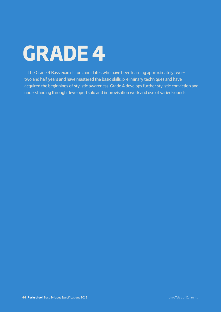# **GRADE 4**

The Grade 4 Bass exam is for candidates who have been learning approximately two – two and half years and have mastered the basic skills, preliminary techniques and have acquired the beginnings of stylistic awareness. Grade 4 develops further stylistic conviction and understanding through developed solo and improvisation work and use of varied sounds.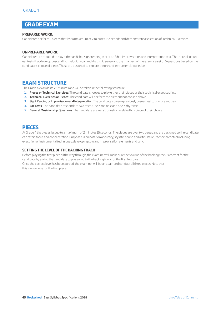# **GRADE EXAM**

## **PREPARED WORK:**

Candidates perform 3 pieces that last a maximum of 2 minutes 15 seconds and demonstrate a selection of Technical Exercises.

## **UNPREPARED WORK:**

Candidates are required to play either an 8-bar sight reading test or an 8 bar Improvisation and Interpretation test. There are also two ear tests that develop descending melodic recall and rhythmic sense and the final part of the exam is a set of 5 questions based on the candidate's choice of piece. These are designed to explore theory and instrument knowledge.

# **EXAM STRUCTURE**

The Grade 4 exam lasts 25 minutes and will be taken in the following structure:

- **1. Pieces or Technical Exercises**: The candidate chooses to play either their pieces or their technical exercises first
- **2. Technical Exercises or Pieces**: The candidate will perform the element not chosen above
- **3. Sight Reading or Improvisation and Interpretation**: The candidate is given a previously unseen test to practice and play
- **4. Ear Tests**: The candidate responds to two tests. One is melodic and one is rhythmic
- **5. General Musicianship Questions**: The candidate answers 5 questions related to a piece of their choice

# **PIECES**

At Grade 4 the pieces last up to a maximum of 2 minutes 15 seconds. The pieces are over two pages and are designed so the candidate can retain focus and concentration. Emphasis is on notation accuracy, stylistic sound and articulation, technical control including execution of instrumental techniques, developing solo and improvisation elements and sync.

## **SETTING THE LEVEL OF THE BACKING TRACK**

Before playing the first piece all the way through, the examiner will make sure the volume of the backing track is correct for the candidate by asking the candidate to play along to the backing track for the first few bars. Once the correct level has been agreed, the examiner will begin again and conduct all three pieces. Note that this is only done for the first piece.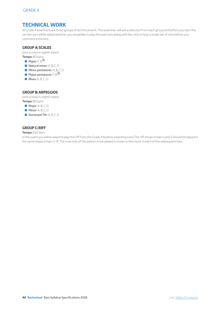# **TECHNICAL WORK**

At Grade 4 level there are three groups of technical work. The examiner will ask a selection from each group and before you start the section you will be asked whether you would like to play the exercises along with the click or hear a single bar of click before you commence the test.

## **GROUP A: SCALES**

(one octave in eighth notes)

- **Tempo:** 80 bpm
- **Major:** F, B  $\mathsf{b}$
- $\blacksquare$  Natural minor: A, B, C, D
- **Minor pentatonic:** A, B, C, D
- **Major pentatonic:** F, B  $b$
- Blues: A, B, C, D

## **GROUP B: ARPEGGIOS**

(one octave in eighth notes) **Tempo:** 80 bpm

- $\blacksquare$  Major: A, B, C, D
- **Minor: A, B, C, D**
- Dominant 7th: A, B, C, D

## **GROUP C: RIFF**

#### **Tempo:** 100 bpm

In the exam you will be asked to play the riff from the Grade 4 book to a backing track.The riff shown in bars 1 and 2 should be played in the same shape in bars 3–8. The root note of the pattern to be played is shown in the music in each of the subsequent bars.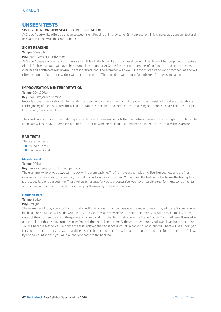# **UNSEEN TESTS**

## SIGHT READING OR IMPROVISATION & INTERPRETATION

At Grade 4 you will be offered a choice between Sight Reading or Improvisation & Interpretation. This is a previously unseen test and an example is shown in the Grade 4 book.

## **SIGHT READING**

#### **Tempo:** 80–90 bpm

#### **Key:** D and G major, D and A minor

At Grade 4 there is an element of improvisation. This is in the form of a two bar development. The piece will be composed in the style of rock, funk or blues and will have chord symbols throughout. At Grade 4 the notation consists of half, quarter and eight notes, and quarter and eighth note rests in 4/4. The test is 8 bars long. The examiner will allow 90 seconds preparation and practice time and will offer the option of practising with or without a metronome. The candidate will then perform the test for the examination.

## **IMPROVISATION & INTERPRETATION**

#### **Tempo:** 90–100 bpm

**Key:** D or G major, D or A minor

In Grade 4, the Improvisation & Interpretation test contains a small amount of sight reading. This consists of two-bars of notation at the beginning of the test. You will be asked to notation as indicated and complete the test using an improvised bass line. This is played to a backing track of eight bars.

The candidate will have 30 seconds preparation time and the examiner will offer the metronome as a guide throughout this time. The candidate will then have a complete practice run through with the backing track and then on the repeat, the test will be examined.

## **EAR TESTS**

There are two tests

- Melodic Recall
- **B** Harmonic Recall

#### **Melodic Recall**

#### **Tempo:** 90 bpm

#### **Key:** D major pentatonic or B minor pentatonic

The examiner will play you a two bar melody with a drum backing. The first note of the melody will be the root note and the first interval will be descending. You will play the melody back on your instrument. You will hear the test twice. Each time the test is played it is preceded by a one bar count-in. There will be a short gap for you to practise after you have heard the test for the second time. Next you will hear a vocal count-in and you will then play the melody to the drum backing.

#### **Harmonic Recall**

#### **Tempo:** 90 bpm

#### **Key:** C major

The examiner will play you a tonic chord followed by a two-bar chord sequence in the key of C major played to a guitar and drum backing. The sequence will be drawn from I, IV and V chords and may occur in any combination. You will be asked to play the root notes of the chord sequence to the guitar and drum backing in the rhythm shown in the Grade 4 book. This rhythm will be used in all examples of this test given in the exam. You will then be asked to identify the chord sequence you have played to the examiner. You will hear the test twice. Each time the test is played the sequence is: count-in, tonic, count-in, chords. There will be a short gap for you to practise after you have heard the test for the second time. You will hear the count-in and tonic for the third time followed by a vocal count-in then you will play the root notes to the backing.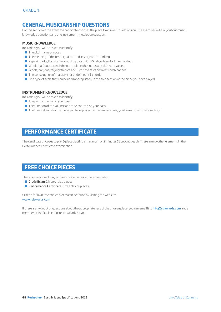# **GENERAL MUSICIANSHIP QUESTIONS**

For this section of the exam the candidate chooses the piece to answer 5 questions on. The examiner will ask you four music knowledge questions and one instrument knowledge question.

## **MUSIC KNOWLEDGE**

In Grade 4 you will be asked to identify:

- $\blacksquare$  The pitch name of notes
- $\blacksquare$  The meaning of the time signature and key signature marking
- Repeat marks, first and second time bars, D.C., D.S., al Coda and al Fine markings
- Q Whole, half, quarter, eighth note, triplet eighth notes and 16th note values
- Q Whole, half, quarter, eighth note and 16th note rests and rest combinations
- $\blacksquare$  The construction of major, minor or dominant 7 chords
- $\blacksquare$  One type of scale that can be used appropriately in the solo section of the piece you have played

## **INSTRUMENT KNOWLEDGE**

In Grade 4 you will be asked to identify:

- Any part or control on your bass
- $\blacksquare$  The function of the volume and tone controls on your bass
- $\blacksquare$  The tone settings for the piece you have played on the amp and why you have chosen these settings

# **PERFORMANCE CERTIFICATE**

The candidate chooses to play 5 pieces lasting a maximum of 2 minutes 15 seconds each. There are no other elements in the Performance Certificate examination.

# **FREE CHOICE PIECES**

There is an option of playing free choice pieces in the examination.

- Grade Exam:  $2$  free choice pieces
- **Performance Certificate:** 3 free choice pieces

Criteria for own free choice pieces can be found by visiting the website: www.rslawards.com

If there is any doubt or questions about the appropriateness of the chosen piece, you can email it to info@rslawards.com and a member of the Rockschool team will advise you.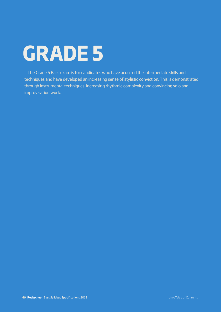# **GRADE 5**

The Grade 5 Bass exam is for candidates who have acquired the intermediate skills and techniques and have developed an increasing sense of stylistic conviction. This is demonstrated through instrumental techniques, increasing rhythmic complexity and convincing solo and improvisation work.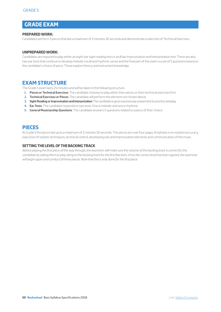# **GRADE EXAM**

## **PREPARED WORK:**

Candidates perform 3 pieces that last a maximum of 2 minutes 30 seconds and demonstrate a selection of Technical Exercises.

## **UNPREPARED WORK:**

Candidates are required to play either an eight-bar sight reading test or an 8 bar Improvisation and Interpretation test. There are also two ear tests that continue to develop melodic recall and rhythmic sense and the final part of the exam is a set of 5 questions based on the candidate's choice of piece. These explore theory and instrument knowledge.

# **EXAM STRUCTURE**

The Grade 5 exam lasts 25 minutes and will be taken in the following structure.

- **1. Pieces or Technical Exercises**: The candidate chooses to play either their pieces or their technical exercises first
- **2. Technical Exercises or Pieces**: The candidate will perform the element not chosen above
- **3. Sight Reading or Improvisation and Interpretation**: The candidate is given a previously unseen test to practice and play
- **4. Ear Tests**: The candidate responds to two tests. One is melodic and one is rhythmic
- **5. General Musicianship Questions**: The candidate answers 5 questions related to a piece of their choice

# **PIECES**

At Grade 5 the pieces last up to a maximum of 2 minutes 30 seconds. The pieces are over four pages. Emphasis is on notation accuracy, execution of stylistic techniques, technical control, developing solo and improvisation elements and communication of the music.

## **SETTING THE LEVEL OF THE BACKING TRACK**

*Before playing the first piece all the way through, the examiner will make sure the volume of the backing track is correct for the candidate by asking them to play along to the backing track for the first few bars. Once the correct level has been agreed, the examiner will begin again and conduct all three pieces. Note that this is only done for the first piece.*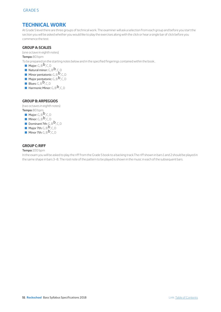# **TECHNICAL WORK**

At Grade 5 level there are three groups of technical work. The examiner will ask a selection from each group and before you start the section you will be asked whether you would like to play the exercises along with the click or hear a single bar of click before you commence the test.

## **GROUP A: SCALES**

(one octave in eighth notes)

**Tempo:** 80 bpm

To be prepared on the starting notes below and in the specified fingerings contained within the book..

- **Major:**  $G, B^{\mathbf{D}}, C, D$
- $\blacksquare$  Natural minor:  $G, B^{\mathbf{b}}, C, D$
- **Minor pentatonic:** G, B  $\overline{b}$ , C, D
- **Major pentatonic:**  $G, B^{\mathbf{b}}$ ,  $C, D$
- Blues:  $G, B^{\mathbf{b}}$ ,  $C, D$
- **Harmonic Minor:** G, B  $\overline{b}$ , C, D

## **GROUP B: ARPEGGIOS**

(two octaves in eighth notes) **Tempo:** 80 bpm

- $\blacksquare$  Major: G, B $b$ , C, D
- $\blacksquare$  Minor:  $G, B^{\mathbf{b}}, C, D$
- Dominant 7th:  $G, B^{\mathbf{b}}$ ,  $C, D$
- $\blacksquare$  Major 7th: G, B  $\blacksquare$  C, D
- $\blacksquare$  Minor 7th: G, B $\mathsf{b}$ , C, D

## **GROUP C: RIFF**

#### **Tempo:** 100 bpm

In the exam you will be asked to play the riff from the Grade 5 book to a backing track.The riff shown in bars 1 and 2 should be played in the same shape in bars 3–8. The root note of the pattern to be played is shown in the music in each of the subsequent bars.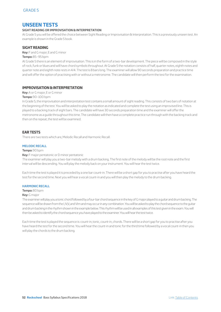# **UNSEEN TESTS**

## **SIGHT READING OR IMPROVISATION & INTERPRETATION**

At Grade 5 you will be offered the choice between Sight Reading or Improvisation & Interpretation. This is a previously unseen test. An example is shown in the Grade 5 book.

## **SIGHT READING**

**Key:** F and G major, E and G minor

#### **Tempo:** 85–95 bpm

At Grade 5 there is an element of improvisation. This is in the form of a two-bar development. The piece will be composed in the style of rock, funk or blues and will have chord symbols throughout. At Grade 5 the notation consists of half, quarter notes, eighth notes and quarter note and eighth note rests in 4/4. The test is 8 bars long. The examiner will allow 90 seconds preparation and practice time and will offer the option of practising with or without a metronome. The candidate will then perform the test for the examination.

## **IMPROVISATION & INTERPRETATION**

**Key:** A or G major, E or G minor

#### **Tempo:** 90–100 bpm

In Grade 5, the improvisation and interpretation test contains a small amount of sight reading. This consists of two bars of notation at the beginning of the test. You will be asked to play the notation as indicated and complete the test using an improvised line. This is played to a backing track of eight bars. The candidate will have 30 seconds preparation time and the examiner will offer the metronome as a guide throughout this time. The candidate will then have a complete practice run through with the backing track and then on the repeat, the test will be examined.

## **EAR TESTS**

There are two tests which are, Melodic Recall and Harmonic Recall.

## **MELODIC RECALL**

#### **Tempo:** 90 bpm

**Key:** F major pentatonic or D minor pentatonic

The examiner will play you a two-bar melody with a drum backing. The first note of the melody will be the root note and the first interval will be descending. You will play the melody back on your instrument. You will hear the test twice.

Each time the test is played it is preceded by a one bar count-in. There will be a short gap for you to practise after you have heard the test for the second time. Next you will hear a vocal count-in and you will then play the melody to the drum backing.

#### **HARMONIC RECALL**

**Tempo:** 80 bpm

#### **Key:** G major

The examiner will play you a tonic chord followed by a four-bar chord sequence in the key of G major played to a guitar and drum backing. The sequence will be drawn from the I, IV,V, and VIm and may occur in any combination. You will be asked to play the chord sequence to the guitar and drum backing in the rhythm shown in the example below. This rhythm will be used in all examples of this test given in the exam. You will then be asked to identify the chord sequence you have played to the examiner. You will hear the test twice.

Each time the test is played the sequence is: count-in, tonic, count-in, chords. There will be a short gap for you to practise after you have heard the test for the second time. You will hear the count-in and tonic for the third time followed by a vocal count-in then you will play the chords to the drum backing.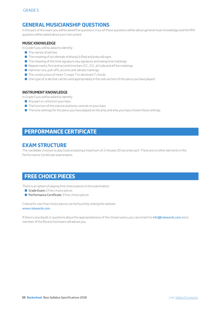# **GENERAL MUSICIANSHIP QUESTIONS**

In this part of the exam you will be asked five questions. Four of these questions will be about general music knowledge and the fifth question will be asked about your instrument.

## **MUSIC KNOWLEDGE**

In Grade 5 you will be asked to identify:

- $\blacksquare$  The names of pitches
- $\blacksquare$  The meaning of accidentals:  $\#$  (sharp), b (flat) and (natural) signs
- $\blacksquare$  The meaning of the time signature, key signature and swing time markings
- Repeat marks, first and second time bars, D.C., D.S., al Coda and al Fine markings
- Q Hammer-ons, pull-offs, accents and *vibrato* markings
- The construction of minor 7, major 7 or dominant 7 chords
- $\Box$  One type of scale that can be used appropriately in the solo section of the piece you have played

## **INSTRUMENT KNOWLEDGE**

In Grade 5 you will be asked to identify:

- Any part or control on your bass
- $\blacksquare$  The function of the volume and tone controls on your bass
- $\blacksquare$  The tone settings for the piece you have played on the amp and why you have chosen these settings

# **PERFORMANCE CERTIFICATE**

# **EXAM STRUCTURE**

The candidate chooses to play 5 pieces lasting a maximum of 2 minutes 30 seconds each. There are no other elements in the Performance Certificate examination.

# **FREE CHOICE PIECES**

There is an option of playing free choice pieces in the examination.

- Grade Exam: 2 free choice pieces
- **Performance Certificate:** 3 free choice pieces

Criteria for own free choice pieces can be found by visiting the website: www.rslawards.com

If there is any doubt or questions about the appropriateness of the chosen piece, you can email it to info@rslawards.com and a member of the Rockschool team will advise you.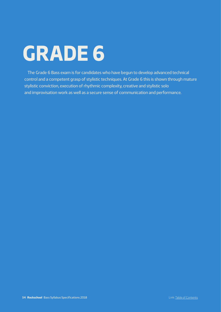# **GRADE 6**

The Grade 6 Bass exam is for candidates who have begun to develop advanced technical control and a competent grasp of stylistic techniques. At Grade 6 this is shown through mature stylistic conviction, execution of rhythmic complexity, creative and stylistic solo and improvisation work as well as a secure sense of communication and performance.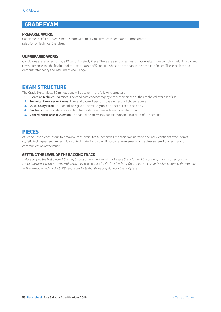# **GRADE EXAM**

## **PREPARED WORK:**

Candidates perform 3 pieces that last a maximum of 2 minutes 45 seconds and demonstrate a selection of Technical Exercises.

## **UNPREPARED WORK:**

Candidates are required to play a 12 bar Quick Study Piece. There are also two ear tests that develop more complex melodic recall and rhythmic sense and the final part of the exam is a set of 5 questions based on the candidate's choice of piece. These explore and demonstrate theory and instrument knowledge.

# **EXAM STRUCTURE**

The Grade 6 exam lasts 30 minutes and will be taken in the following structure

- **1. Pieces or Technical Exercises:** The candidate chooses to play either their pieces or their technical exercises first
- **2. Technical Exercises or Pieces:** The candidate will perform the element not chosen above
- **3. Quick Study Piece:** The candidate is given a previously unseen test to practice and play
- **4. Ear Tests:** The candidate responds to two tests. One is melodic and one is harmonic
- **5. General Musicianship Question:** The candidate answers 5 questions related to a piece of their choice

# **PIECES**

At Grade 6 the pieces last up to a maximum of 2 minutes 45 seconds. Emphasis is on notation accuracy, confident execution of stylistic techniques, secure technical control, maturing solo and improvisation elements and a clear sense of ownership and communication of the music.

## **SETTING THE LEVEL OF THE BACKING TRACK**

*Before playing the first piece all the way through, the examiner will make sure the volume of the backing track is correct for the*  candidate by asking them to play along to the backing track for the first few bars. Once the correct level has been agreed, the examiner *will begin again and conduct all three pieces. Note that this is only done for the first piece.*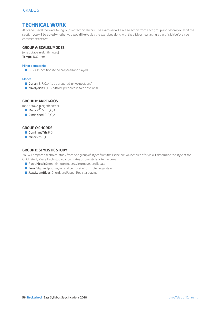# **TECHNICAL WORK**

At Grade 6 level there are four groups of technical work. The examiner will ask a selection from each group and before you start the section you will be asked whether you would like to play the exercises along with the click or hear a single bar of click before you commence the test.

## **GROUP A: SCALES/MODES**

(one octave in eighth notes) **Tempo:** 100 bpm

## **Minor pentatonic:**

G, B. All 5 positions to be prepared and played.

## **Modes:**

- $\blacksquare$  Dorian: E, F, G, A (to be prepared in two positions)
- $\blacksquare$  Mixolydian: E, F, G, A (to be prepared in two positions)

## **GROUP B: ARPEGGIOS**

(one octave in eighth notes)

- $\blacksquare$  Major 7  $\mathsf{b}_{5:\mathsf{E},\mathsf{F},\mathsf{G},\mathsf{A}}$
- $\blacksquare$  Diminished: E, F, G, A

## **GROUP C: CHORDS**

- Dominant  $7th: F<sub>G</sub>$
- **Minor 7th: F, G**

## **GROUP D: STYLISTIC STUDY**

You will prepare a technical study from one group of styles from the list below. Your choice of style will determine the style of the Quick Study Piece. Each study concentrates on two stylistic techniques.

- **Rock/Metal:** Sixteenth note fingerstyle grooves and legato
- **Funk:** Slap and pop playing and percussive 16th note fingerstyle
- **D** Jazz/Latin/Blues: Chords and Upper Register playing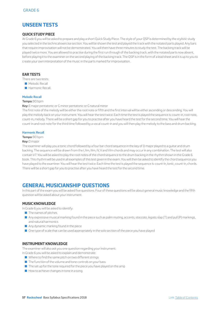# **UNSEEN TESTS**

## **QUICK STUDY PIECE**

At Grade 6 you will be asked to prepare and play a short Quick Study Piece. The style of your QSP is determined by the stylistic study you selected in the technical exercise section. You will be shown the test and played the track with the notated parts played. Any bars that require improvisation will not be demonstrated. You will then have three minutes to study the test. The backing track will be played twice more. You are allowed to practise during the first run through of the backing track, with the notated parts now absent, before playing it to the examiner on the second playing of the backing track. The QSP is in the form of a lead sheet and it is up to you to create your own interpretation of the music in the parts marked for improvisation.

## **EAR TESTS**

There are two tests:

- **Melodic Recall**
- **B** Harmonic Recall

### **Melodic Recall**

#### **Tempo:** 90 bpm

**Key:** E major pentatonic or G minor pentatonic or G natural minor

The first note of the melody will be either the root note or fifth and the first interval will be either ascending or descending. You will play the melody back on your instrument. You will hear the test twice. Each time the test is played the sequence is: count-in, root note, count-in, melody. There will be a short gap for you to practise after you have heard the test for the second time. You will hear the count-in and root note for the third time followed by a vocal count-in and you will then play the melody to the bass and drum backing.

#### **Harmonic Recall**

#### **Tempo:** 90 bpm

#### **Key:** D major

The examiner will play you a tonic chord followed by a four bar chord sequence in the key of D major played to a guitar and drum backing. The sequence will be drawn from the I, IIm, IIIm, IV, V and VIm chords and may occur in any combination. The test will also contain V7. You will be asked to play the root notes of the chord sequence to the drum backing in the rhythm shown in the Grade 6 book. This rhythm will be used in all examples of this test given in the exam. You will then be asked to identify the chord sequence you have played to the examiner. You will hear the test twice. Each time the test is played the sequence is: count-in, tonic, count-in, chords. There will be a short gap for you to practise after you have heard the test for the second time.

# **GENERAL MUSICIANSHIP QUESTIONS**

In this part of the exam you will be asked five questions. Four of these questions will be about general music knowledge and the fifth question will be asked about your instrument.

## **MUSIC KNOWLEDGE**

In Grade 6 you will be asked to identify:

- $\blacksquare$  The names of pitches
- Q Any expressive musical marking found in the piece such as palm muting, accents, *staccato*, *legato*, slap (T) and pull (P) markings, and natural harmonics
- $\blacksquare$  Any dynamic marking found in the piece
- $\blacksquare$  One type of scale that can be used appropriately in the solo section of the piece you have played

#### **INSTRUMENT KNOWLEDGE**

The examiner will also ask you one question regarding your instrument.

In Grade 6 you will be asked to explain and demonstrate:

- $\blacksquare$  Where to find the same pitch on two different strings
- $\blacksquare$  The function of the volume and tone controls on your bass
- $\blacksquare$  The set up for the tone required for the piece you have played on the amp
- $\blacksquare$  How to achieve changes in tone in a song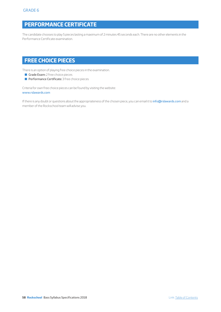# **PERFORMANCE CERTIFICATE**

The candidate chooses to play 5 pieces lasting a maximum of 2 minutes 45 seconds each. There are no other elements in the Performance Certificate examination.

# **FREE CHOICE PIECES**

There is an option of playing free choice pieces in the examination.

- Grade Exam: 2 free choice pieces
- **Performance Certificate:** 3 free choice pieces

Criteria for own free choice pieces can be found by visiting the website: www.rslawards.com

If there is any doubt or questions about the appropriateness of the chosen piece, you can email it to info@rslawards.com and a member of the Rockschool team will advise you.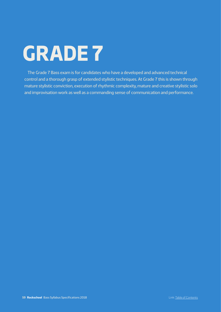# **GRADE 7**

The Grade 7 Bass exam is for candidates who have a developed and advanced technical control and a thorough grasp of extended stylistic techniques. At Grade 7 this is shown through mature stylistic conviction, execution of rhythmic complexity, mature and creative stylistic solo and improvisation work as well as a commanding sense of communication and performance.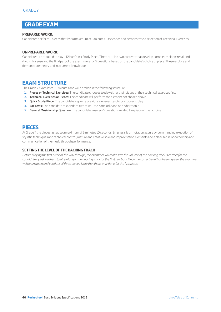# **GRADE EXAM**

## **PREPARED WORK:**

Candidates perform 3 pieces that last a maximum of 3 minutes 10 seconds and demonstrate a selection of Technical Exercises.

## **UNPREPARED WORK:**

Candidates are required to play a 12 bar Quick Study Piece. There are also two ear tests that develop complex melodic recall and rhythmic sense and the final part of the exam is a set of 5 questions based on the candidate's choice of piece. These explore and demonstrate theory and instrument knowledge.

# **EXAM STRUCTURE**

The Grade 7 exam lasts 30 minutes and will be taken in the following structure:

- **1. Pieces or Technical Exercises:** The candidate chooses to play either their pieces or their technical exercises first
- **2. Technical Exercises or Pieces:** The candidate will perform the element not chosen above
- **3. Quick Study Piece:** The candidate is given a previously unseen test to practice and play
- **4. Ear Tests:** The candidate responds to two tests. One is melodic and one is harmonic
- **5. General Musicianship Question:** The candidate answers 5 questions related to a piece of their choice

# **PIECES**

At Grade 7 the pieces last up to a maximum of 3 minutes 10 seconds. Emphasis is on notation accuracy, commanding execution of stylistic techniques and technical control, mature and creative solo and improvisation elements and a clear sense of ownership and communication of the music through performance.

## **SETTING THE LEVEL OF THE BACKING TRACK**

*Before playing the first piece all the way through, the examiner will make sure the volume of the backing track is correct for the candidate by asking them to play along to the backing track for the first few bars. Once the correct level has been agreed, the examiner will begin again and conduct all three pieces. Note that this is only done for the first piece.*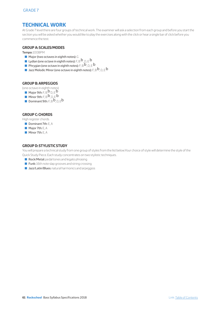# **TECHNICAL WORK**

At Grade 7 level there are four groups of technical work. The examiner will ask a selection from each group and before you start the section you will be asked whether you would like to play the exercises along with the click or hear a single bar of click before you commence the test.

## **GROUP A: SCALES/MODES**

**Tempo:** 100BPM

- $\blacksquare$  Major (two octaves in eighth notes): G
- **Lydian (one octave in eighth notes):**  $F, B, B, D, E$
- **D** Phrygian (one octave in eighth notes): F, B  $b$  , <sub>D, E</sub>  $b$
- **Q** Jazz Melodic Minor (one octave in eighth notes): F, B  $b$  , D, E  $b$

## **GROUP B: ARPEGGIOS**

(one octave in eighth notes)

- $\blacksquare$  Major 9th:  $F, B^{\mathbf{b}}$  D,  $E^{\mathbf{b}}$
- Minor 9th:  $F, B^{\mathbf{b}}, D, E^{\mathbf{b}}$
- Dominant 9th:  $F$ , B  $\overline{b}$ , D, Eb

## **GROUP C: CHORDS**

High register chords

- Dominant 7th:  $E, A$
- $\blacksquare$  Major 7th: E, A
- $\blacksquare$  Minor 7th:  $\blacksquare$  A

## **GROUP D: STYLISTIC STUDY**

You will prepare a technical study from one group of styles from the list below.Your choice of style will determine the style of the Quick Study Piece. Each study concentrates on two stylistic techniques.

- Rock/Metal: pedal tones and legato phrasing
- **Funk:** 16th note slap grooves and string crossing
- **Q Jazz/Latin/Blues:** natural harmonics and arpeggios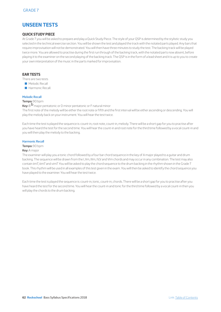# **UNSEEN TESTS**

## **QUICK STUDY PIECE**

At Grade 7 you will be asked to prepare and play a Quick Study Piece. The style of your QSP is determined by the stylistic study you selected in the technical exercise section. You will be shown the test and played the track with the notated parts played. Any bars that require improvisation will not be demonstrated. You will then have three minutes to study the test. The backing track will be played twice more. You are allowed to practise during the first run through of the backing track, with the notated parts now absent, before playing it to the examiner on the second playing of the backing track. The QSP is in the form of a lead sheet and it is up to you to create your own interpretation of the music in the parts marked for improvisation.

## **EAR TESTS**

There are two tests

- **Melodic Recall**
- **B** Harmonic Recall

### **Melodic Recall**

## **Tempo:** 90 bpm

**Key:** Bb major pentatonic or D minor pentatonic or F natural minor

The first note of the melody will be either the root note or fifth and the first interval will be either ascending or descending. You will play the melody back on your instrument. You will hear the test twice.

Each time the test is played the sequence is: count-in, root note, count-in, melody. There will be a short gap for you to practise after you have heard the test for the second time. You will hear the count-in and root note for the third time followed by a vocal count-in and you will then play the melody to the backing.

#### **Harmonic Recall**

#### **Tempo:** 90 bpm

#### **Key:** A major

The examiner will play you a tonic chord followed by a four bar chord sequence in the key of A major played to a guitar and drum backing. The sequence will be drawn from the I, IIm, IIIm, IV,V and VIm chords and may occur in any combination. The test may also contain iim7, iiim7 and vim7. You will be asked to play the chord sequence to the drum backing in the rhythm shown in the Grade 7 book. This rhythm will be used in all examples of this test given in the exam. You will then be asked to identify the chord sequence you have played to the examiner. You will hear the test twice.

Each time the test is played the sequence is: count-in, tonic, count-in, chords. There will be a short gap for you to practise after you have heard the test for the second time. You will hear the count-in and tonic for the third time followed by a vocal count-in then you will play the chords to the drum backing.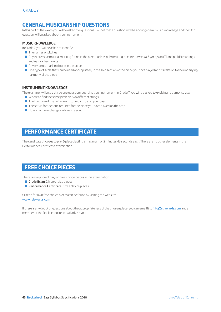# **GENERAL MUSICIANSHIP QUESTIONS**

In this part of the exam you will be asked five questions. Four of these questions will be about general music knowledge and the fifth question will be asked about your instrument.

## **MUSIC KNOWLEDGE**

In Grade 7 you will be asked to identify:

- $\blacksquare$  The names of pitches
- Q Any expressive musical marking found in the piece such as palm muting, accents, *staccato*, *legato*, slap (T) and pull (P) markings, and natural harmonics
- $\blacksquare$  Any dynamic marking found in the piece
- $\blacksquare$  One type of scale that can be used appropriately in the solo section of the piece you have played and its relation to the underlying harmony of the piece

## **INSTRUMENT KNOWLEDGE**

The examiner will also ask you one question regarding your instrument. In Grade 7 you will be asked to explain and demonstrate:

- $\blacksquare$  Where to find the same pitch on two different strings
- $\blacksquare$  The function of the volume and tone controls on your bass
- $\blacksquare$  The set up for the tone required for the piece you have played on the amp
- $\blacksquare$  How to achieve changes in tone in a song

# **PERFORMANCE CERTIFICATE**

The candidate chooses to play 5 pieces lasting a maximum of 2 minutes 45 seconds each. There are no other elements in the Performance Certificate examination.

# **FREE CHOICE PIECES**

There is an option of playing free choice pieces in the examination.

- Grade Exam:  $2$  free choice pieces
- **Performance Certificate:** 3 free choice pieces

Criteria for own free choice pieces can be found by visiting the website: www.rslawards.com

If there is any doubt or questions about the appropriateness of the chosen piece, you can email it to info@rslawards.com and a member of the Rockschool team will advise you.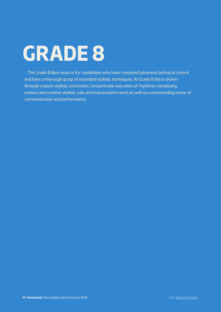# **GRADE 8**

The Grade 8 Bass exam is for candidates who have mastered advanced technical control and have a thorough grasp of extended stylistic techniques. At Grade 8 this is shown through mature stylistic conviction, consummate execution of rhythmic complexity, mature and creative stylistic solo and improvisation work as well as a commanding sense of communication and performance.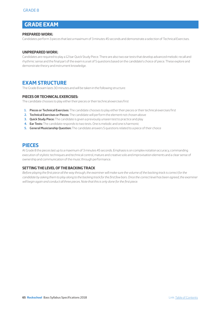# **GRADE EXAM**

## **PREPARED WORK:**

Candidates perform 3 pieces that last a maximum of 3 minutes 45 seconds and demonstrate a selection of Technical Exercises.

## **UNPREPARED WORK:**

Candidates are required to play a 12 bar Quick Study Piece. There are also two ear tests that develop advanced melodic recall and rhythmic sense and the final part of the exam is a set of 5 questions based on the candidate's choice of piece. These explore and demonstrate theory and instrument knowledge.

# **EXAM STRUCTURE**

The Grade 8 exam lasts 30 minutes and will be taken in the following structure:

## **PIECES OR TECHNICAL EXERCISES:**

The candidate chooses to play either their pieces or their technical exercises first

- **1. Pieces or Technical Exercises:** The candidate chooses to play either their pieces or their technical exercises first
- **2. Technical Exercises or Pieces:** The candidate will perform the element not chosen above
- **3. Quick Study Piece:** The candidate is given a previously unseen test to practice and play
- **4. Ear Tests:** The candidate responds to two tests. One is melodic and one is harmonic
- **5. General Musicianship Question:** The candidate answers 5 questions related to a piece of their choice

# **PIECES**

At Grade 8 the pieces last up to a maximum of 3 minutes 45 seconds. Emphasis is on complex notation accuracy, commanding execution of stylistic techniques and technical control, mature and creative solo and improvisation elements and a clear sense of ownership and communication of the music through performance.

## **SETTING THE LEVEL OF THE BACKING TRACK**

*Before playing the first piece all the way through, the examiner will make sure the volume of the backing track is correct for the*  candidate by asking them to play along to the backing track for the first few bars. Once the correct level has been agreed, the examiner *will begin again and conduct all three pieces. Note that this is only done for the first piece.*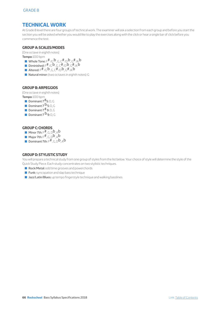# **TECHNICAL WORK**

At Grade 8 level there are four groups of technical work. The examiner will ask a selection from each group and before you start the section you will be asked whether you would like to play the exercises along with the click or hear a single bar of click before you commence the test.

## **GROUP A: SCALES/MODES**

(One octave in eighth notes)

**Tempo:** 100 bpm

- Whole Tone:  $F^{\#}/G$   $\mathsf{b}_{, G, C}^{\#}/D$   $\mathsf{b}_{, G}^{\#}/A$  b
- Diminished:  $F# / G$ b,  $G, C# / D$ b,  $G# / A$ b
- Altered:  $F^{\#}/G^{\mathbf{b}}$ , G,  $C^{\#}/D^{\mathbf{b}}$ ,  $G^{\#}/A^{\mathbf{b}}$
- Natural minor: (two octaves in eighth notes): G

## **GROUP B: ARPEGGIOS**

(One octave in eighth notes)

- **Tempo:** 100 bpm
	- Dominant  $7#5: D, G$
	- Dominant  $7^{b}$  5: D, G
	- **Dominant 7**  $#9: D, G$
	- **Dominant 7**  $\mathbf{b}_{9:}\rho$ , G

## **GROUP C: CHORDS**

- Minor 7th:  $F^{\#}$ , G, D, A, Ab
- $\blacksquare$  Major 7th:  $\mathsf{F}^{\#}$ , G, D $\mathsf{b}$ , Ab
- **Dominant 7th:**  $F^{\#}$  G, D**b**, A**b**

## **GROUP D: STYLISTIC STUDY**

You will prepare a technical study from one group of styles from the list below. Your choice of style will determine the style of the Quick Study Piece. Each study concentrates on two stylistic techniques.

- Rock/Metal: odd time grooves and powerchords
- $\blacksquare$  Funk: syncopation and slap bass technique
- **D** Jazz/Latin/Blues: up tempo fingerstyle technique and walking basslines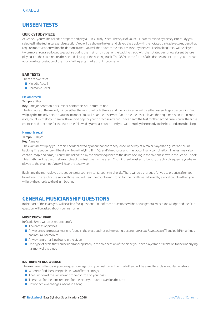# **UNSEEN TESTS**

## **QUICK STUDY PIECE**

At Grade 8 you will be asked to prepare and play a Quick Study Piece. The style of your QSP is determined by the stylistic study you selected in the technical exercise section. You will be shown the test and played the track with the notated parts played. Any bars that require improvisation will not be demonstrated. You will then have three minutes to study the test. The backing track will be played twice more. You are allowed to practise during the first run through of the backing track, with the notated parts now absent, before playing it to the examiner on the second playing of the backing track. The QSP is in the form of a lead sheet and it is up to you to create your own interpretation of the music in the parts marked for improvisation.

## **EAR TESTS**

There are two tests:

- **Melodic Recall**
- **B** Harmonic Recall

#### **Melodic recall**

#### **Tempo:** 90 bpm

**Key:** B major pentatonic or C minor pentatonic or B natural minor

The first note of the melody will be either the root, third or fifth note and the first interval will be either ascending or descending. You will play the melody back on your instrument. You will hear the test twice. Each time the test is played the sequence is: count-in, root note, count-in, melody. There will be a short gap for you to practise after you have heard the test for the second time. You will hear the count-in and root note for the third time followed by a vocal count-in and you will then play the melody to the bass and drum backing.

#### **Harmonic recall**

#### **Tempo:** 90 bpm

#### **Key:** A major

The examiner will play you a tonic chord followed by a four bar chord sequence in the key of A major played to a guitar and drum backing. The sequence will be drawn from the I, IIm, IIIm, IV,V and VIm chords and may occur in any combination. The test may also contain Imaj7 and IVmaj7. You will be asked to play the chord sequence to the drum backing in the rhythm shown in the Grade 8 book. This rhythm will be used in all examples of this test given in the exam. You will then be asked to identify the chord sequence you have played to the examiner. You will hear the test twice.

Each time the test is played the sequence is: count-in, tonic, count-in, chords. There will be a short gap for you to practise after you have heard the test for the second time. You will hear the count-in and tonic for the third time followed by a vocal count-in then you will play the chords to the drum backing.

# **GENERAL MUSICIANSHIP QUESTIONS**

In this part of the exam you will be asked five questions. Four of these questions will be about general music knowledge and the fifth question will be asked about your instrument.

## **MUSIC KNOWLEDGE**

In Grade 8 you will be asked to identify:

- $\blacksquare$  The names of pitches
- Q Any expressive musical marking found in the piece such as palm muting, accents, *staccato*, *legato*, slap (T) and pull (P) markings, and natural harmonics
- $\blacksquare$  Any dynamic marking found in the piece
- $\blacksquare$  One type of scale that can be used appropriately in the solo section of the piece you have played and its relation to the underlying harmony of the piece

## **INSTRUMENT KNOWLEDGE**

The examiner will also ask you one question regarding your instrument. In Grade 8 you will be asked to explain and demonstrate:

- $\blacksquare$  Where to find the same pitch on two different strings
- $\blacksquare$  The function of the volume and tone controls on your bass
- $\blacksquare$  The set up for the tone required for the piece you have played on the amp
- $\blacksquare$  How to achieve changes in tone in a song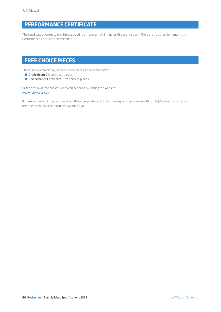# **PERFORMANCE CERTIFICATE**

The candidate chooses to play 5 pieces lasting a maximum of 2 minutes 45 seconds each. There are no other elements in the Performance Certificate examination.

# **FREE CHOICE PIECES**

There is an option of playing free choice pieces in the examination.

- Grade Exam: 2 free choice pieces
- **Performance Certificate:** 3 free choice pieces

Criteria for own free choice pieces can be found by visiting the website: www.rslawards.com

If there is any doubt or questions about the appropriateness of the chosen piece, you can email it to info@rslawards.com and a member of the Rockschool team will advise you.